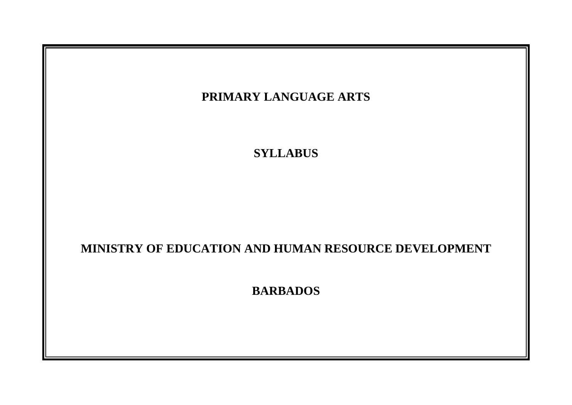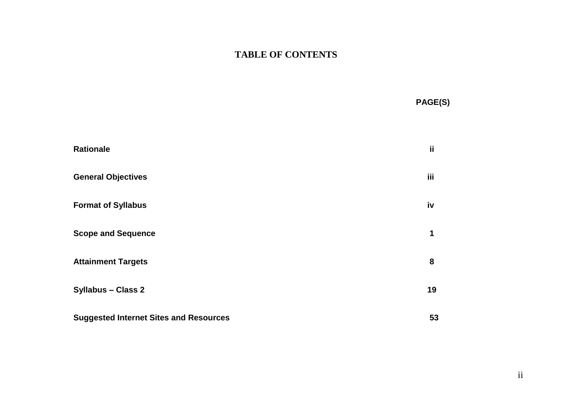## **TABLE OF CONTENTS**

**PAGE(S)**

| <b>Rationale</b>                              | ii  |
|-----------------------------------------------|-----|
| <b>General Objectives</b>                     | iii |
| <b>Format of Syllabus</b>                     | iv  |
| <b>Scope and Sequence</b>                     | 1   |
| <b>Attainment Targets</b>                     | 8   |
| <b>Syllabus - Class 2</b>                     | 19  |
| <b>Suggested Internet Sites and Resources</b> | 53  |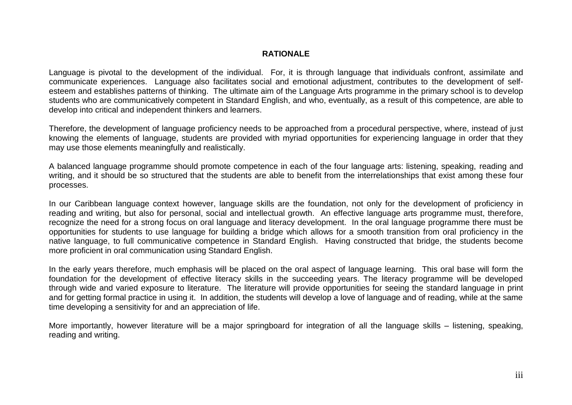#### **RATIONALE**

Language is pivotal to the development of the individual. For, it is through language that individuals confront, assimilate and communicate experiences. Language also facilitates social and emotional adjustment, contributes to the development of selfesteem and establishes patterns of thinking. The ultimate aim of the Language Arts programme in the primary school is to develop students who are communicatively competent in Standard English, and who, eventually, as a result of this competence, are able to develop into critical and independent thinkers and learners.

Therefore, the development of language proficiency needs to be approached from a procedural perspective, where, instead of just knowing the elements of language, students are provided with myriad opportunities for experiencing language in order that they may use those elements meaningfully and realistically.

A balanced language programme should promote competence in each of the four language arts: listening, speaking, reading and writing, and it should be so structured that the students are able to benefit from the interrelationships that exist among these four processes.

In our Caribbean language context however, language skills are the foundation, not only for the development of proficiency in reading and writing, but also for personal, social and intellectual growth. An effective language arts programme must, therefore, recognize the need for a strong focus on oral language and literacy development. In the oral language programme there must be opportunities for students to use language for building a bridge which allows for a smooth transition from oral proficiency in the native language, to full communicative competence in Standard English. Having constructed that bridge, the students become more proficient in oral communication using Standard English.

In the early years therefore, much emphasis will be placed on the oral aspect of language learning. This oral base will form the foundation for the development of effective literacy skills in the succeeding years. The literacy programme will be developed through wide and varied exposure to literature. The literature will provide opportunities for seeing the standard language in print and for getting formal practice in using it. In addition, the students will develop a love of language and of reading, while at the same time developing a sensitivity for and an appreciation of life.

More importantly, however literature will be a major springboard for integration of all the language skills – listening, speaking, reading and writing.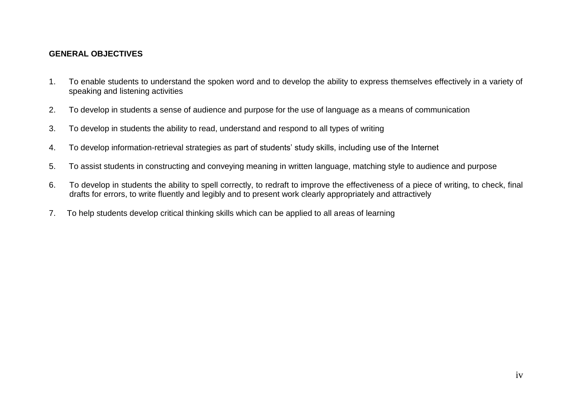#### **GENERAL OBJECTIVES**

- 1. To enable students to understand the spoken word and to develop the ability to express themselves effectively in a variety of speaking and listening activities
- 2. To develop in students a sense of audience and purpose for the use of language as a means of communication
- 3. To develop in students the ability to read, understand and respond to all types of writing
- 4. To develop information-retrieval strategies as part of students' study skills, including use of the Internet
- 5. To assist students in constructing and conveying meaning in written language, matching style to audience and purpose
- 6. To develop in students the ability to spell correctly, to redraft to improve the effectiveness of a piece of writing, to check, final drafts for errors, to write fluently and legibly and to present work clearly appropriately and attractively
- 7. To help students develop critical thinking skills which can be applied to all areas of learning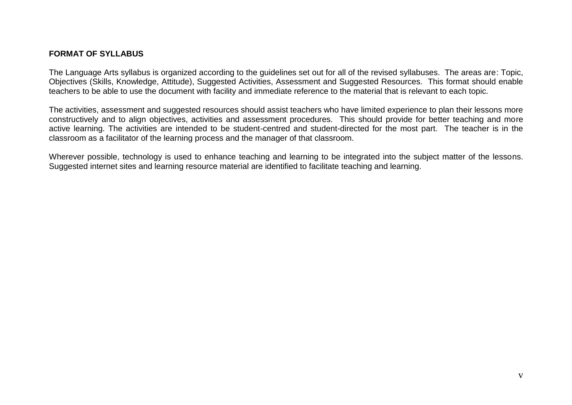#### **FORMAT OF SYLLABUS**

The Language Arts syllabus is organized according to the guidelines set out for all of the revised syllabuses. The areas are: Topic, Objectives (Skills, Knowledge, Attitude), Suggested Activities, Assessment and Suggested Resources. This format should enable teachers to be able to use the document with facility and immediate reference to the material that is relevant to each topic.

The activities, assessment and suggested resources should assist teachers who have limited experience to plan their lessons more constructively and to align objectives, activities and assessment procedures. This should provide for better teaching and more active learning. The activities are intended to be student-centred and student-directed for the most part. The teacher is in the classroom as a facilitator of the learning process and the manager of that classroom.

Wherever possible, technology is used to enhance teaching and learning to be integrated into the subject matter of the lessons. Suggested internet sites and learning resource material are identified to facilitate teaching and learning.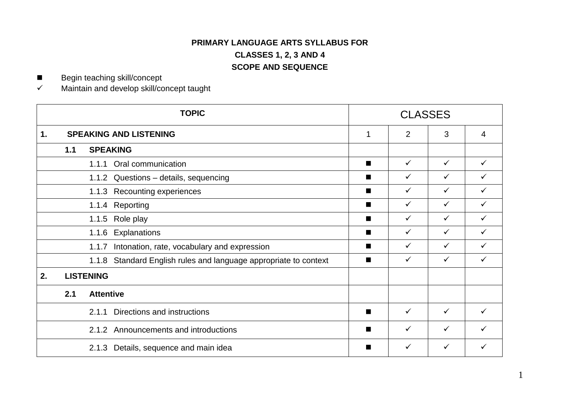### **PRIMARY LANGUAGE ARTS SYLLABUS FOR CLASSES 1, 2, 3 AND 4 SCOPE AND SEQUENCE**

■ Begin teaching skill/concept

 $\checkmark$  Maintain and develop skill/concept taught

|    | <b>TOPIC</b>                  |                                                                     |                | <b>CLASSES</b> |              |              |
|----|-------------------------------|---------------------------------------------------------------------|----------------|----------------|--------------|--------------|
| 1. | <b>SPEAKING AND LISTENING</b> |                                                                     |                | $\overline{2}$ | 3            | 4            |
|    | <b>SPEAKING</b><br>1.1        |                                                                     |                |                |              |              |
|    |                               | 1.1.1 Oral communication                                            | $\blacksquare$ | $\checkmark$   | $\checkmark$ | ✓            |
|    |                               | 1.1.2 Questions - details, sequencing                               | ■              | $\checkmark$   | $\checkmark$ | ✓            |
|    | 1.1.3 Recounting experiences  |                                                                     | ■              | $\checkmark$   | $\checkmark$ | ✓            |
|    | 1.1.4 Reporting               |                                                                     | ■              | $\checkmark$   | $\checkmark$ | ✓            |
|    |                               | 1.1.5 Role play                                                     | ш              | $\checkmark$   | $\checkmark$ | ✓            |
|    |                               | Explanations<br>1.1.6                                               | $\blacksquare$ | $\checkmark$   | $\checkmark$ | $\checkmark$ |
|    |                               | Intonation, rate, vocabulary and expression<br>1.1.7                | $\blacksquare$ | $\checkmark$   | $\checkmark$ | ✓            |
|    |                               | Standard English rules and language appropriate to context<br>1.1.8 | ш              | $\checkmark$   | $\checkmark$ | ✓            |
| 2. |                               | <b>LISTENING</b>                                                    |                |                |              |              |
|    | 2.1                           | <b>Attentive</b>                                                    |                |                |              |              |
|    |                               | Directions and instructions<br>2.1.1                                | ■              | ✓              | $\checkmark$ | ✓            |
|    |                               | 2.1.2 Announcements and introductions                               | ■              | $\checkmark$   | $\checkmark$ | ✓            |
|    |                               | 2.1.3 Details, sequence and main idea                               |                | $\checkmark$   | $\checkmark$ | ✓            |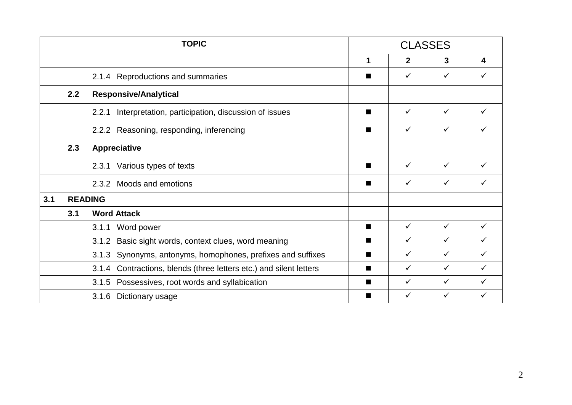|     | <b>TOPIC</b> |                                                                       |   | <b>CLASSES</b> |              |   |
|-----|--------------|-----------------------------------------------------------------------|---|----------------|--------------|---|
|     |              |                                                                       | 1 | $\mathbf{2}$   | 3            | 4 |
|     |              | 2.1.4 Reproductions and summaries                                     |   | ✓              | ✓            |   |
|     | 2.2          | <b>Responsive/Analytical</b>                                          |   |                |              |   |
|     |              | Interpretation, participation, discussion of issues<br>2.2.1          |   | ✓              | ✓            |   |
|     |              | 2.2.2 Reasoning, responding, inferencing                              | ш | ✓              | $\checkmark$ |   |
|     | 2.3          | <b>Appreciative</b>                                                   |   |                |              |   |
|     |              | Various types of texts<br>2.3.1                                       | ш | $\checkmark$   | $\checkmark$ |   |
|     |              | 2.3.2 Moods and emotions                                              |   | ✓              | ✓            |   |
| 3.1 |              | <b>READING</b>                                                        |   |                |              |   |
|     | 3.1          | <b>Word Attack</b>                                                    |   |                |              |   |
|     |              | Word power<br>3.1.1                                                   | ■ | ✓              | ✓            |   |
|     |              | Basic sight words, context clues, word meaning<br>3.1.2               | ٠ | ✓              | $\checkmark$ |   |
|     |              | Synonyms, antonyms, homophones, prefixes and suffixes<br>3.1.3        |   | ✓              | $\checkmark$ |   |
|     |              | Contractions, blends (three letters etc.) and silent letters<br>3.1.4 | ■ | ✓              | $\checkmark$ | ✓ |
|     |              | 3.1.5 Possessives, root words and syllabication                       | ш | ✓              | ✓            |   |
|     |              | 3.1.6 Dictionary usage                                                |   | ✓              | ✓            |   |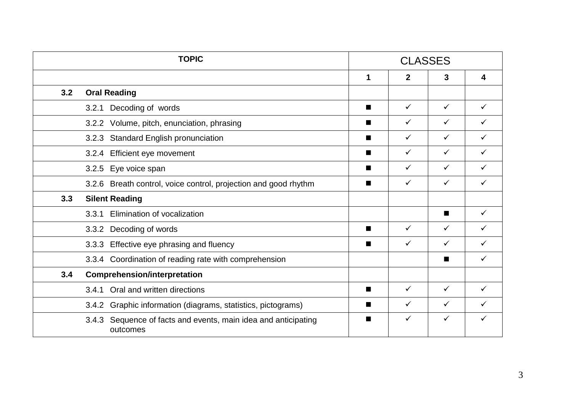|     | <b>TOPIC</b>                                                               |                | <b>CLASSES</b> |                |   |  |
|-----|----------------------------------------------------------------------------|----------------|----------------|----------------|---|--|
|     |                                                                            | 1              | $\mathbf{2}$   | 3              | 4 |  |
| 3.2 | <b>Oral Reading</b>                                                        |                |                |                |   |  |
|     | Decoding of words<br>3.2.1                                                 | $\blacksquare$ | $\checkmark$   | $\checkmark$   |   |  |
|     | 3.2.2 Volume, pitch, enunciation, phrasing                                 | $\blacksquare$ | ✓              | $\checkmark$   |   |  |
|     | <b>Standard English pronunciation</b><br>3.2.3                             | ■              | ✓              | $\checkmark$   |   |  |
|     | Efficient eye movement<br>3.2.4                                            | $\blacksquare$ | ✓              | $\checkmark$   |   |  |
|     | Eye voice span<br>3.2.5                                                    | $\blacksquare$ | ✓              | $\checkmark$   |   |  |
|     | 3.2.6 Breath control, voice control, projection and good rhythm            | $\blacksquare$ | ✓              | $\checkmark$   |   |  |
| 3.3 | <b>Silent Reading</b>                                                      |                |                |                |   |  |
|     | Elimination of vocalization<br>3.3.1                                       |                |                | $\blacksquare$ | ✓ |  |
|     | 3.3.2 Decoding of words                                                    | $\blacksquare$ | ✓              | $\checkmark$   |   |  |
|     | 3.3.3 Effective eye phrasing and fluency                                   | ш              | ✓              | ✓              |   |  |
|     | 3.3.4 Coordination of reading rate with comprehension                      |                |                |                |   |  |
| 3.4 | <b>Comprehension/interpretation</b>                                        |                |                |                |   |  |
|     | Oral and written directions<br>3.4.1                                       | <b>START</b>   | ✓              | $\checkmark$   |   |  |
|     | Graphic information (diagrams, statistics, pictograms)<br>3.4.2            | ■              | ✓              | ✓              |   |  |
|     | 3.4.3 Sequence of facts and events, main idea and anticipating<br>outcomes | ■              | $\checkmark$   | $\checkmark$   |   |  |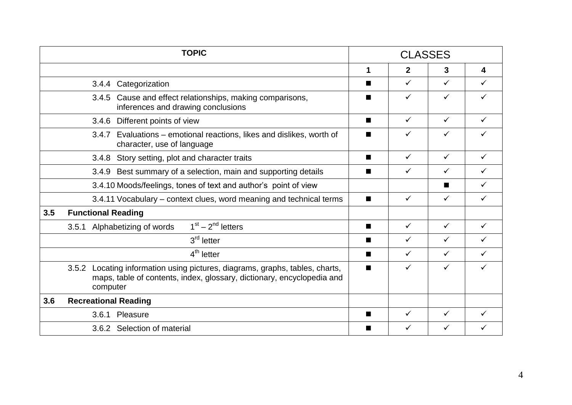| <b>TOPIC</b>                                                                                                                                                          |                                                                 | <b>CLASSES</b> |              |              |              |
|-----------------------------------------------------------------------------------------------------------------------------------------------------------------------|-----------------------------------------------------------------|----------------|--------------|--------------|--------------|
|                                                                                                                                                                       |                                                                 | 1              | $\mathbf{2}$ | 3            | 4            |
| Categorization<br>3.4.4                                                                                                                                               |                                                                 | ■              | $\checkmark$ | $\checkmark$ | $\checkmark$ |
| 3.4.5 Cause and effect relationships, making comparisons,<br>inferences and drawing conclusions                                                                       |                                                                 |                | ✓            | ✓            | ✓            |
| Different points of view<br>3.4.6                                                                                                                                     |                                                                 | ■              | $\checkmark$ | ✓            | ✓            |
| 3.4.7<br>character, use of language                                                                                                                                   | Evaluations – emotional reactions, likes and dislikes, worth of |                | $\checkmark$ | ✓            |              |
| Story setting, plot and character traits<br>3.4.8                                                                                                                     |                                                                 | ■              | $\checkmark$ | $\checkmark$ | $\checkmark$ |
| 3.4.9 Best summary of a selection, main and supporting details                                                                                                        |                                                                 | H              | $\checkmark$ | ✓            | ✓            |
| 3.4.10 Moods/feelings, tones of text and author's point of view                                                                                                       |                                                                 |                |              | ш            | $\checkmark$ |
| 3.4.11 Vocabulary – context clues, word meaning and technical terms                                                                                                   |                                                                 | ■              | $\checkmark$ | $\checkmark$ | $\checkmark$ |
| 3.5<br><b>Functional Reading</b>                                                                                                                                      |                                                                 |                |              |              |              |
| $1st - 2nd$ letters<br>Alphabetizing of words<br>3.5.1                                                                                                                |                                                                 | ■              | $\checkmark$ | $\checkmark$ | $\checkmark$ |
| $3rd$ letter                                                                                                                                                          |                                                                 | ■              | $\checkmark$ | $\checkmark$ | ✓            |
| $4th$ letter                                                                                                                                                          |                                                                 | ■              | $\checkmark$ | $\checkmark$ | $\checkmark$ |
| Locating information using pictures, diagrams, graphs, tables, charts,<br>3.5.2<br>maps, table of contents, index, glossary, dictionary, encyclopedia and<br>computer |                                                                 | ■              | ✓            | ✓            |              |
| 3.6<br><b>Recreational Reading</b>                                                                                                                                    |                                                                 |                |              |              |              |
| Pleasure<br>3.6.1                                                                                                                                                     |                                                                 | ▅              | ✓            | ✓            |              |
| 3.6.2 Selection of material                                                                                                                                           |                                                                 |                | ✓            | ✓            |              |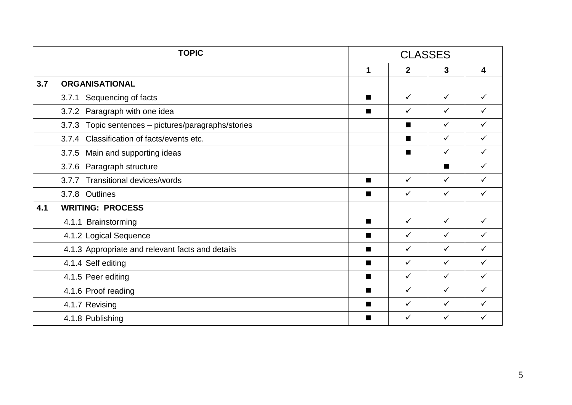|     | <b>TOPIC</b>                                           |                | <b>CLASSES</b> |                |              |
|-----|--------------------------------------------------------|----------------|----------------|----------------|--------------|
|     |                                                        | 1              | $\mathbf{2}$   | 3              | 4            |
| 3.7 | <b>ORGANISATIONAL</b>                                  |                |                |                |              |
|     | Sequencing of facts<br>3.7.1                           | $\blacksquare$ | $\checkmark$   | $\checkmark$   | $\checkmark$ |
|     | 3.7.2 Paragraph with one idea                          | ■              | ✓              | $\checkmark$   | ✓            |
|     | Topic sentences - pictures/paragraphs/stories<br>3.7.3 |                |                | $\checkmark$   | ✓            |
|     | 3.7.4 Classification of facts/events etc.              |                | п              | $\checkmark$   | $\checkmark$ |
|     | 3.7.5 Main and supporting ideas                        |                | п              | $\checkmark$   | $\checkmark$ |
|     | 3.7.6 Paragraph structure                              |                |                | $\blacksquare$ | $\checkmark$ |
|     | 3.7.7 Transitional devices/words                       | п              | $\checkmark$   | $\checkmark$   | $\checkmark$ |
|     | 3.7.8 Outlines                                         | $\blacksquare$ | $\checkmark$   | $\checkmark$   | $\checkmark$ |
| 4.1 | <b>WRITING: PROCESS</b>                                |                |                |                |              |
|     | 4.1.1 Brainstorming                                    | $\blacksquare$ | $\checkmark$   | $\checkmark$   | $\checkmark$ |
|     | 4.1.2 Logical Sequence                                 | $\blacksquare$ | $\checkmark$   | $\checkmark$   | $\checkmark$ |
|     | 4.1.3 Appropriate and relevant facts and details       | п              | $\checkmark$   | $\checkmark$   | $\checkmark$ |
|     | 4.1.4 Self editing                                     | $\blacksquare$ | $\checkmark$   | $\checkmark$   | $\checkmark$ |
|     | 4.1.5 Peer editing                                     | п              | ✓              | $\checkmark$   | ✓            |
|     | 4.1.6 Proof reading                                    | $\blacksquare$ | $\checkmark$   | $\checkmark$   | ✓            |
|     | 4.1.7 Revising                                         | ■              | $\checkmark$   | $\checkmark$   | ✓            |
|     | 4.1.8 Publishing                                       | ■              | $\checkmark$   | $\checkmark$   | ✓            |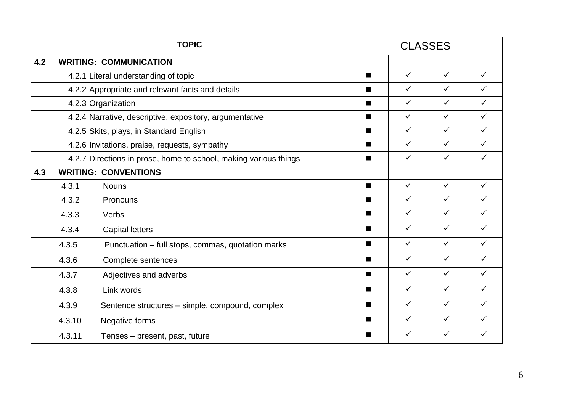|     | <b>TOPIC</b>                                                     |                                                   |                | <b>CLASSES</b> |              |              |
|-----|------------------------------------------------------------------|---------------------------------------------------|----------------|----------------|--------------|--------------|
| 4.2 |                                                                  | <b>WRITING: COMMUNICATION</b>                     |                |                |              |              |
|     |                                                                  | 4.2.1 Literal understanding of topic              | ■              | $\checkmark$   | $\checkmark$ | $\checkmark$ |
|     | 4.2.2 Appropriate and relevant facts and details                 |                                                   |                | $\checkmark$   | $\checkmark$ | $\checkmark$ |
|     | 4.2.3 Organization                                               |                                                   |                | $\checkmark$   | $\checkmark$ | $\checkmark$ |
|     | 4.2.4 Narrative, descriptive, expository, argumentative          |                                                   |                | $\checkmark$   | $\checkmark$ | $\checkmark$ |
|     | 4.2.5 Skits, plays, in Standard English                          |                                                   |                | $\checkmark$   | $\checkmark$ | $\checkmark$ |
|     | 4.2.6 Invitations, praise, requests, sympathy                    |                                                   |                | $\checkmark$   | $\checkmark$ | $\checkmark$ |
|     | 4.2.7 Directions in prose, home to school, making various things |                                                   |                | $\checkmark$   | $\checkmark$ | $\checkmark$ |
| 4.3 |                                                                  | <b>WRITING: CONVENTIONS</b>                       |                |                |              |              |
|     | 4.3.1                                                            | <b>Nouns</b>                                      | п              | $\checkmark$   | $\checkmark$ | $\checkmark$ |
|     | 4.3.2                                                            | Pronouns                                          | $\blacksquare$ | $\checkmark$   | $\checkmark$ | $\checkmark$ |
|     | 4.3.3                                                            | Verbs                                             | ■              | $\checkmark$   | $\checkmark$ | $\checkmark$ |
|     | 4.3.4                                                            | <b>Capital letters</b>                            | $\blacksquare$ | $\checkmark$   | $\checkmark$ | $\checkmark$ |
|     | 4.3.5                                                            | Punctuation – full stops, commas, quotation marks | $\blacksquare$ | $\checkmark$   | $\checkmark$ | $\checkmark$ |
|     | 4.3.6                                                            | Complete sentences                                | п              | $\checkmark$   | $\checkmark$ | $\checkmark$ |
|     | 4.3.7                                                            | Adjectives and adverbs                            | п              | $\checkmark$   | $\checkmark$ | $\checkmark$ |
|     | 4.3.8                                                            | Link words                                        | П              | $\checkmark$   | $\checkmark$ | $\checkmark$ |
|     | 4.3.9                                                            | Sentence structures – simple, compound, complex   | п              | $\checkmark$   | $\checkmark$ | $\checkmark$ |
|     | 4.3.10                                                           | Negative forms                                    | ■              | $\checkmark$   | $\checkmark$ | $\checkmark$ |
|     | 4.3.11                                                           | Tenses – present, past, future                    | ■              | $\checkmark$   | $\checkmark$ | $\checkmark$ |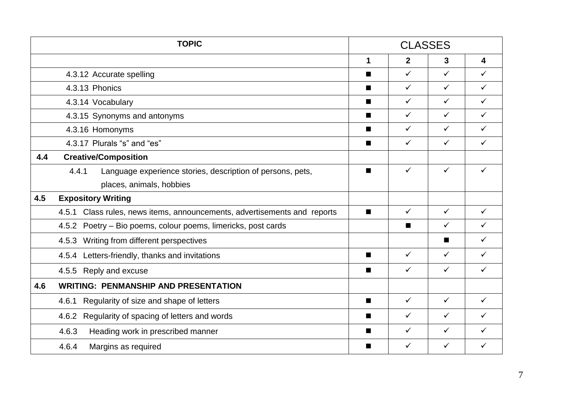|     | <b>TOPIC</b>                                                                |                | <b>CLASSES</b> |                |              |  |
|-----|-----------------------------------------------------------------------------|----------------|----------------|----------------|--------------|--|
|     |                                                                             | 1              | $\overline{2}$ | 3              | 4            |  |
|     | 4.3.12 Accurate spelling                                                    | ■              | $\checkmark$   | $\checkmark$   | ✓            |  |
|     | 4.3.13 Phonics                                                              | ш              | $\checkmark$   | $\checkmark$   | $\checkmark$ |  |
|     | 4.3.14 Vocabulary                                                           | ■              | $\checkmark$   | $\checkmark$   | $\checkmark$ |  |
|     | 4.3.15 Synonyms and antonyms                                                |                | $\checkmark$   | $\checkmark$   | $\checkmark$ |  |
|     | 4.3.16 Homonyms                                                             |                | $\checkmark$   | $\checkmark$   | $\checkmark$ |  |
|     | 4.3.17 Plurals "s" and "es"                                                 |                | $\checkmark$   | $\checkmark$   | $\checkmark$ |  |
| 4.4 | <b>Creative/Composition</b>                                                 |                |                |                |              |  |
|     | 4.4.1<br>Language experience stories, description of persons, pets,         | ■              | $\checkmark$   | $\checkmark$   | ✓            |  |
|     | places, animals, hobbies                                                    |                |                |                |              |  |
| 4.5 | <b>Expository Writing</b>                                                   |                |                |                |              |  |
|     | Class rules, news items, announcements, advertisements and reports<br>4.5.1 | п              | $\checkmark$   | $\checkmark$   | ✓            |  |
|     | 4.5.2 Poetry – Bio poems, colour poems, limericks, post cards               |                | ■              | $\checkmark$   | $\checkmark$ |  |
|     | 4.5.3 Writing from different perspectives                                   |                |                | $\blacksquare$ | $\checkmark$ |  |
|     | 4.5.4 Letters-friendly, thanks and invitations                              | $\blacksquare$ | $\checkmark$   | $\checkmark$   | ✓            |  |
|     | 4.5.5 Reply and excuse                                                      | П              | $\checkmark$   | $\checkmark$   | ✓            |  |
| 4.6 | <b>WRITING: PENMANSHIP AND PRESENTATION</b>                                 |                |                |                |              |  |
|     | Regularity of size and shape of letters<br>4.6.1                            | п              | $\checkmark$   | $\checkmark$   | $\checkmark$ |  |
|     | Regularity of spacing of letters and words<br>4.6.2                         | $\blacksquare$ | $\checkmark$   | $\checkmark$   | $\checkmark$ |  |
|     | 4.6.3<br>Heading work in prescribed manner                                  | ■              | $\checkmark$   | $\checkmark$   | ✓            |  |
|     | 4.6.4<br>Margins as required                                                | ■              | $\checkmark$   | $\checkmark$   | ✓            |  |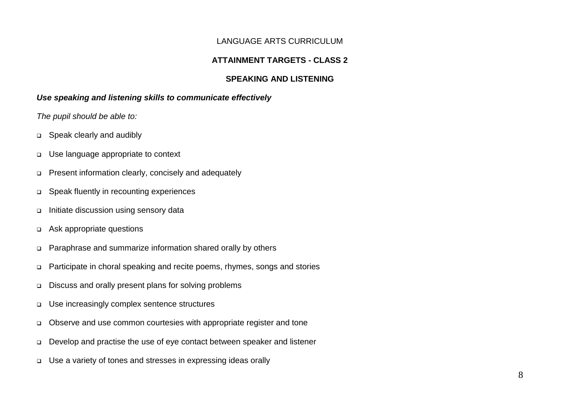#### LANGUAGE ARTS CURRICULUM

### **ATTAINMENT TARGETS - CLASS 2**

#### **SPEAKING AND LISTENING**

#### *Use speaking and listening skills to communicate effectively*

- Speak clearly and audibly
- Use language appropriate to context
- Present information clearly, concisely and adequately
- Speak fluently in recounting experiences
- Initiate discussion using sensory data
- Ask appropriate questions
- Paraphrase and summarize information shared orally by others
- Participate in choral speaking and recite poems, rhymes, songs and stories
- Discuss and orally present plans for solving problems
- Use increasingly complex sentence structures
- Observe and use common courtesies with appropriate register and tone
- Develop and practise the use of eye contact between speaker and listener
- Use a variety of tones and stresses in expressing ideas orally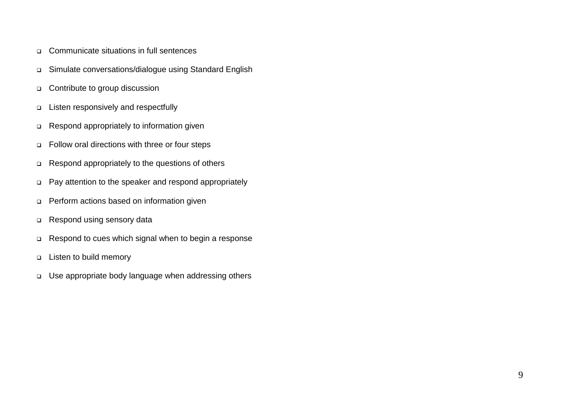- Communicate situations in full sentences
- Simulate conversations/dialogue using Standard English
- □ Contribute to group discussion
- □ Listen responsively and respectfully
- Respond appropriately to information given
- Follow oral directions with three or four steps
- Respond appropriately to the questions of others
- Pay attention to the speaker and respond appropriately
- Perform actions based on information given
- Respond using sensory data
- Respond to cues which signal when to begin a response
- **Listen to build memory**
- Use appropriate body language when addressing others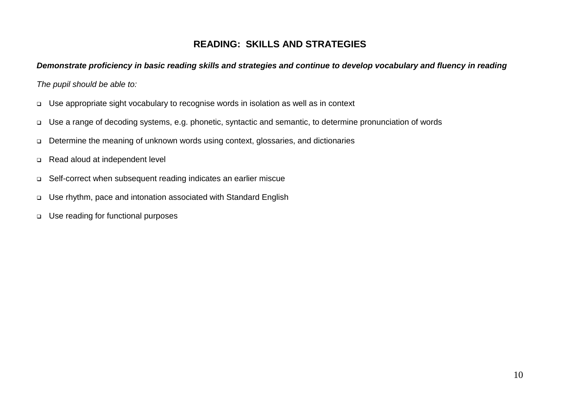## **READING: SKILLS AND STRATEGIES**

#### *Demonstrate proficiency in basic reading skills and strategies and continue to develop vocabulary and fluency in reading*

- Use appropriate sight vocabulary to recognise words in isolation as well as in context
- Use a range of decoding systems, e.g. phonetic, syntactic and semantic, to determine pronunciation of words
- Determine the meaning of unknown words using context, glossaries, and dictionaries
- Read aloud at independent level
- Self-correct when subsequent reading indicates an earlier miscue
- Use rhythm, pace and intonation associated with Standard English
- Use reading for functional purposes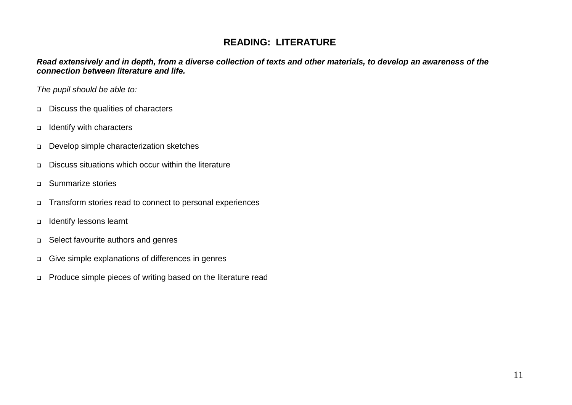## **READING: LITERATURE**

*Read extensively and in depth, from a diverse collection of texts and other materials, to develop an awareness of the connection between literature and life.*

- Discuss the qualities of characters
- Identify with characters
- Develop simple characterization sketches
- Discuss situations which occur within the literature
- □ Summarize stories
- Transform stories read to connect to personal experiences
- Identify lessons learnt
- □ Select favourite authors and genres
- Give simple explanations of differences in genres
- Produce simple pieces of writing based on the literature read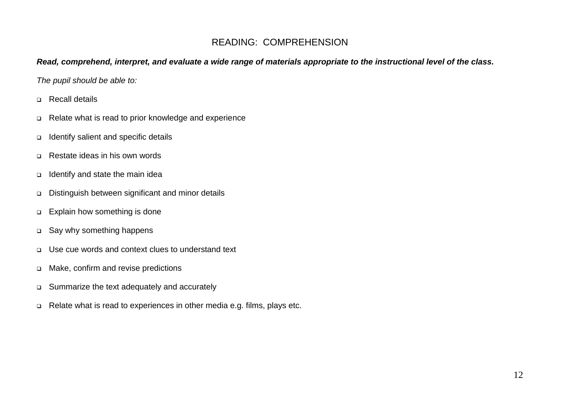## READING: COMPREHENSION

#### *Read, comprehend, interpret, and evaluate a wide range of materials appropriate to the instructional level of the class.*

- Recall details
- Relate what is read to prior knowledge and experience
- Identify salient and specific details
- □ Restate ideas in his own words
- $\Box$  Identify and state the main idea
- Distinguish between significant and minor details
- □ Explain how something is done
- □ Say why something happens
- Use cue words and context clues to understand text
- Make, confirm and revise predictions
- Summarize the text adequately and accurately
- □ Relate what is read to experiences in other media e.g. films, plays etc.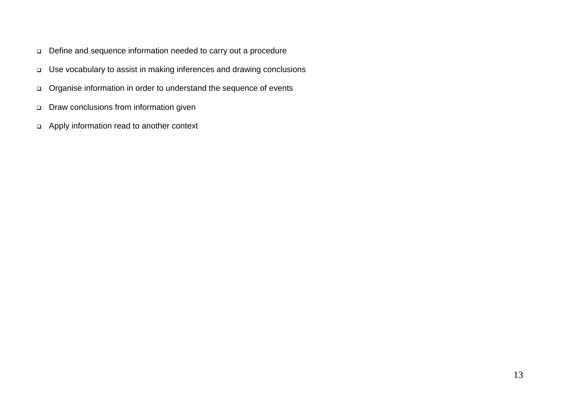- Define and sequence information needed to carry out a procedure
- Use vocabulary to assist in making inferences and drawing conclusions
- Organise information in order to understand the sequence of events
- Draw conclusions from information given
- Apply information read to another context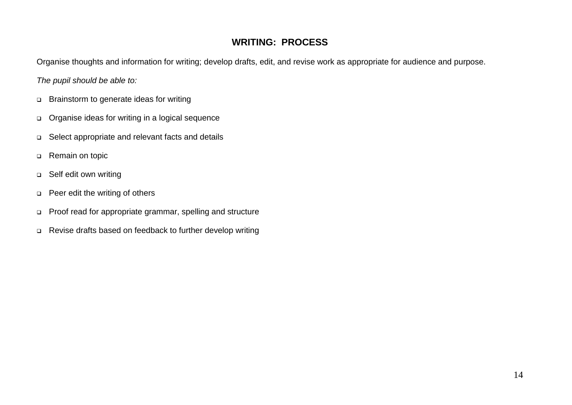## **WRITING: PROCESS**

Organise thoughts and information for writing; develop drafts, edit, and revise work as appropriate for audience and purpose.

- □ Brainstorm to generate ideas for writing
- Organise ideas for writing in a logical sequence
- Select appropriate and relevant facts and details
- □ Remain on topic
- □ Self edit own writing
- **Peer edit the writing of others**
- Proof read for appropriate grammar, spelling and structure
- Revise drafts based on feedback to further develop writing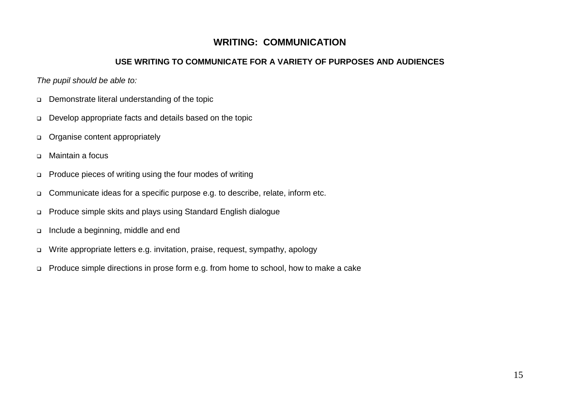### **WRITING: COMMUNICATION**

### **USE WRITING TO COMMUNICATE FOR A VARIETY OF PURPOSES AND AUDIENCES**

- Demonstrate literal understanding of the topic
- Develop appropriate facts and details based on the topic
- o Organise content appropriately
- □ Maintain a focus
- □ Produce pieces of writing using the four modes of writing
- □ Communicate ideas for a specific purpose e.g. to describe, relate, inform etc.
- Produce simple skits and plays using Standard English dialogue
- Include a beginning, middle and end
- Write appropriate letters e.g. invitation, praise, request, sympathy, apology
- □ Produce simple directions in prose form e.g. from home to school, how to make a cake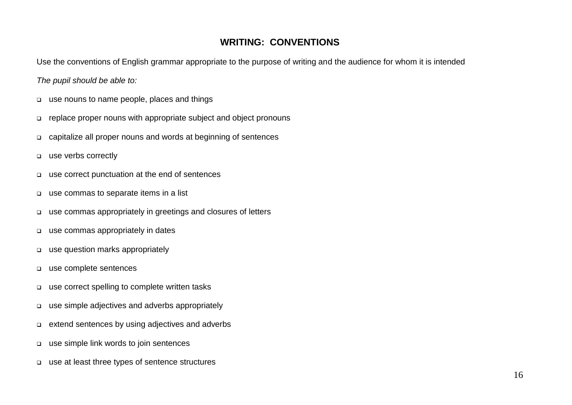### **WRITING: CONVENTIONS**

Use the conventions of English grammar appropriate to the purpose of writing and the audience for whom it is intended

- use nouns to name people, places and things
- replace proper nouns with appropriate subject and object pronouns
- capitalize all proper nouns and words at beginning of sentences
- use verbs correctly
- use correct punctuation at the end of sentences
- use commas to separate items in a list
- use commas appropriately in greetings and closures of letters
- use commas appropriately in dates
- use question marks appropriately
- use complete sentences
- use correct spelling to complete written tasks
- use simple adjectives and adverbs appropriately
- extend sentences by using adjectives and adverbs
- use simple link words to join sentences
- use at least three types of sentence structures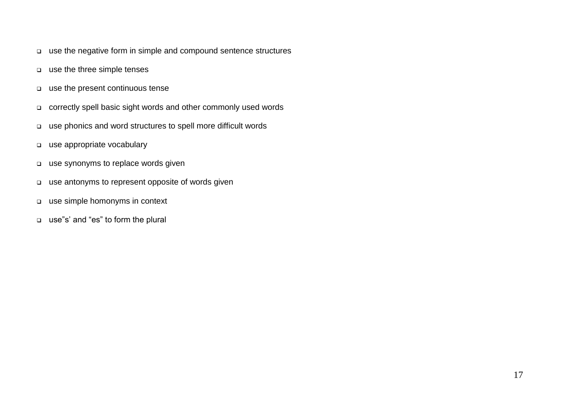- use the negative form in simple and compound sentence structures
- use the three simple tenses
- use the present continuous tense
- correctly spell basic sight words and other commonly used words
- use phonics and word structures to spell more difficult words
- use appropriate vocabulary
- use synonyms to replace words given
- use antonyms to represent opposite of words given
- use simple homonyms in context
- use"s' and "es" to form the plural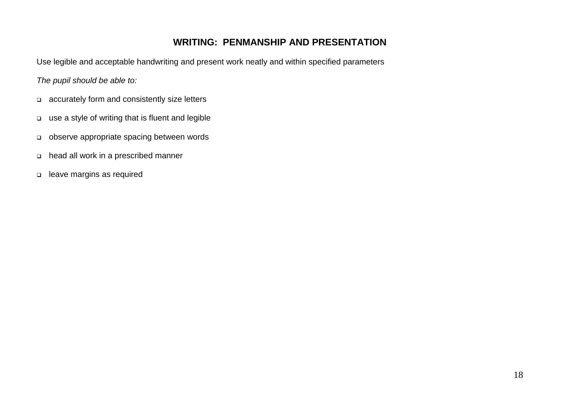### **WRITING: PENMANSHIP AND PRESENTATION**

Use legible and acceptable handwriting and present work neatly and within specified parameters

- accurately form and consistently size letters
- use a style of writing that is fluent and legible
- observe appropriate spacing between words
- head all work in a prescribed manner
- leave margins as required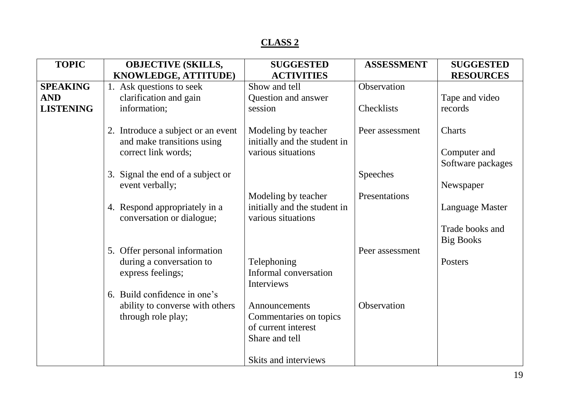| <b>TOPIC</b>     | <b>OBJECTIVE (SKILLS,</b>                                                               | <b>SUGGESTED</b>                                                          | <b>ASSESSMENT</b> | <b>SUGGESTED</b>                            |
|------------------|-----------------------------------------------------------------------------------------|---------------------------------------------------------------------------|-------------------|---------------------------------------------|
|                  | KNOWLEDGE, ATTITUDE)                                                                    | <b>ACTIVITIES</b>                                                         |                   | <b>RESOURCES</b>                            |
| <b>SPEAKING</b>  | 1. Ask questions to seek                                                                | Show and tell                                                             | Observation       |                                             |
| <b>AND</b>       | clarification and gain                                                                  | Question and answer                                                       |                   | Tape and video                              |
| <b>LISTENING</b> | information;                                                                            | session                                                                   | Checklists        | records                                     |
|                  | 2. Introduce a subject or an event<br>and make transitions using<br>correct link words; | Modeling by teacher<br>initially and the student in<br>various situations | Peer assessment   | Charts<br>Computer and<br>Software packages |
|                  | 3. Signal the end of a subject or<br>event verbally;                                    |                                                                           | Speeches          | Newspaper                                   |
|                  |                                                                                         | Modeling by teacher                                                       | Presentations     |                                             |
|                  | 4. Respond appropriately in a<br>conversation or dialogue;                              | initially and the student in<br>various situations                        |                   | Language Master                             |
|                  |                                                                                         |                                                                           |                   | Trade books and<br><b>Big Books</b>         |
|                  | 5. Offer personal information                                                           |                                                                           | Peer assessment   |                                             |
|                  | during a conversation to                                                                | Telephoning                                                               |                   | Posters                                     |
|                  | express feelings;                                                                       | Informal conversation<br>Interviews                                       |                   |                                             |
|                  | 6. Build confidence in one's                                                            |                                                                           |                   |                                             |
|                  | ability to converse with others                                                         | Announcements                                                             | Observation       |                                             |
|                  | through role play;                                                                      | Commentaries on topics                                                    |                   |                                             |
|                  |                                                                                         | of current interest                                                       |                   |                                             |
|                  |                                                                                         | Share and tell                                                            |                   |                                             |
|                  |                                                                                         | Skits and interviews                                                      |                   |                                             |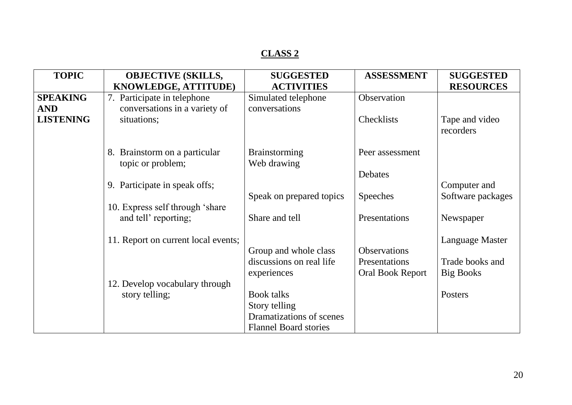| <b>TOPIC</b>     | <b>OBJECTIVE (SKILLS,</b>           | <b>SUGGESTED</b>             | <b>ASSESSMENT</b>       | <b>SUGGESTED</b>       |
|------------------|-------------------------------------|------------------------------|-------------------------|------------------------|
|                  | KNOWLEDGE, ATTITUDE)                | <b>ACTIVITIES</b>            |                         | <b>RESOURCES</b>       |
| <b>SPEAKING</b>  | 7. Participate in telephone         | Simulated telephone          | Observation             |                        |
| <b>AND</b>       | conversations in a variety of       | conversations                |                         |                        |
| <b>LISTENING</b> | situations;                         |                              | <b>Checklists</b>       | Tape and video         |
|                  |                                     |                              |                         | recorders              |
|                  |                                     |                              |                         |                        |
|                  | 8. Brainstorm on a particular       | <b>Brainstorming</b>         | Peer assessment         |                        |
|                  | topic or problem;                   | Web drawing                  |                         |                        |
|                  |                                     |                              | Debates                 |                        |
|                  | 9. Participate in speak offs;       |                              |                         | Computer and           |
|                  |                                     | Speak on prepared topics     | <b>Speeches</b>         | Software packages      |
|                  | 10. Express self through 'share'    |                              |                         |                        |
|                  | and tell' reporting;                | Share and tell               | Presentations           | Newspaper              |
|                  |                                     |                              |                         |                        |
|                  | 11. Report on current local events; |                              |                         | <b>Language Master</b> |
|                  |                                     | Group and whole class        | <b>Observations</b>     |                        |
|                  |                                     | discussions on real life     | Presentations           | Trade books and        |
|                  |                                     | experiences                  | <b>Oral Book Report</b> | <b>Big Books</b>       |
|                  | 12. Develop vocabulary through      |                              |                         |                        |
|                  | story telling;                      | <b>Book talks</b>            |                         | Posters                |
|                  |                                     | Story telling                |                         |                        |
|                  |                                     | Dramatizations of scenes     |                         |                        |
|                  |                                     | <b>Flannel Board stories</b> |                         |                        |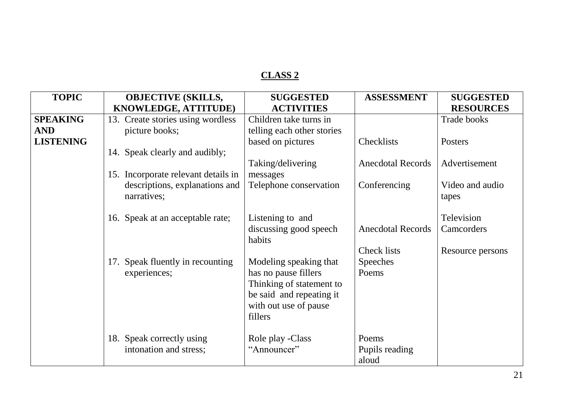| <b>TOPIC</b>     | <b>OBJECTIVE (SKILLS,</b>           | <b>SUGGESTED</b>           | <b>ASSESSMENT</b>        | <b>SUGGESTED</b>   |
|------------------|-------------------------------------|----------------------------|--------------------------|--------------------|
|                  | KNOWLEDGE, ATTITUDE)                | <b>ACTIVITIES</b>          |                          | <b>RESOURCES</b>   |
| <b>SPEAKING</b>  | 13. Create stories using wordless   | Children take turns in     |                          | <b>Trade books</b> |
| <b>AND</b>       | picture books;                      | telling each other stories |                          |                    |
| <b>LISTENING</b> |                                     | based on pictures          | Checklists               | Posters            |
|                  | 14. Speak clearly and audibly;      |                            |                          |                    |
|                  |                                     | Taking/delivering          | <b>Anecdotal Records</b> | Advertisement      |
|                  | 15. Incorporate relevant details in | messages                   |                          |                    |
|                  | descriptions, explanations and      | Telephone conservation     | Conferencing             | Video and audio    |
|                  | narratives;                         |                            |                          | tapes              |
|                  |                                     |                            |                          |                    |
|                  | 16. Speak at an acceptable rate;    | Listening to and           |                          | Television         |
|                  |                                     | discussing good speech     | <b>Anecdotal Records</b> | Camcorders         |
|                  |                                     | habits                     |                          |                    |
|                  |                                     |                            | Check lists              | Resource persons   |
|                  | Speak fluently in recounting<br>17. | Modeling speaking that     | <b>Speeches</b>          |                    |
|                  | experiences;                        | has no pause fillers       | Poems                    |                    |
|                  |                                     | Thinking of statement to   |                          |                    |
|                  |                                     | be said and repeating it   |                          |                    |
|                  |                                     | with out use of pause      |                          |                    |
|                  |                                     | fillers                    |                          |                    |
|                  |                                     |                            |                          |                    |
|                  | 18. Speak correctly using           | Role play -Class           | Poems                    |                    |
|                  | intonation and stress;              | "Announcer"                | Pupils reading           |                    |
|                  |                                     |                            | aloud                    |                    |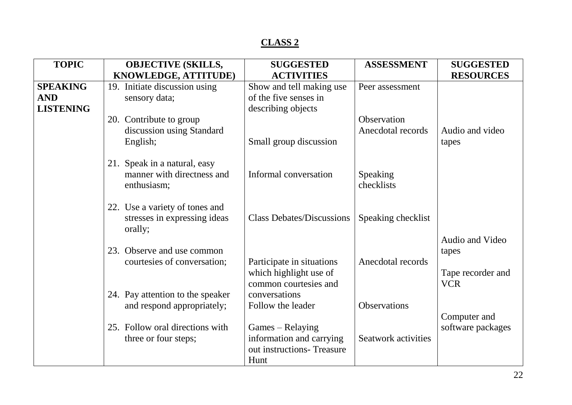| KNOWLEDGE, ATTITUDE)<br><b>RESOURCES</b><br><b>ACTIVITIES</b><br>19. Initiate discussion using<br><b>SPEAKING</b><br>Show and tell making use<br>Peer assessment<br>of the five senses in<br><b>AND</b><br>sensory data;<br><b>LISTENING</b><br>describing objects<br>Observation<br>20. Contribute to group<br>discussion using Standard<br>Anecdotal records<br>Audio and video<br>English;<br>Small group discussion<br>tapes<br>21. Speak in a natural, easy<br>manner with directness and<br>Informal conversation<br><b>Speaking</b><br>checklists<br>enthusiasm; |  |
|-------------------------------------------------------------------------------------------------------------------------------------------------------------------------------------------------------------------------------------------------------------------------------------------------------------------------------------------------------------------------------------------------------------------------------------------------------------------------------------------------------------------------------------------------------------------------|--|
|                                                                                                                                                                                                                                                                                                                                                                                                                                                                                                                                                                         |  |
|                                                                                                                                                                                                                                                                                                                                                                                                                                                                                                                                                                         |  |
|                                                                                                                                                                                                                                                                                                                                                                                                                                                                                                                                                                         |  |
|                                                                                                                                                                                                                                                                                                                                                                                                                                                                                                                                                                         |  |
|                                                                                                                                                                                                                                                                                                                                                                                                                                                                                                                                                                         |  |
|                                                                                                                                                                                                                                                                                                                                                                                                                                                                                                                                                                         |  |
|                                                                                                                                                                                                                                                                                                                                                                                                                                                                                                                                                                         |  |
|                                                                                                                                                                                                                                                                                                                                                                                                                                                                                                                                                                         |  |
|                                                                                                                                                                                                                                                                                                                                                                                                                                                                                                                                                                         |  |
|                                                                                                                                                                                                                                                                                                                                                                                                                                                                                                                                                                         |  |
|                                                                                                                                                                                                                                                                                                                                                                                                                                                                                                                                                                         |  |
|                                                                                                                                                                                                                                                                                                                                                                                                                                                                                                                                                                         |  |
| 22. Use a variety of tones and                                                                                                                                                                                                                                                                                                                                                                                                                                                                                                                                          |  |
| <b>Class Debates/Discussions</b><br>Speaking checklist<br>stresses in expressing ideas                                                                                                                                                                                                                                                                                                                                                                                                                                                                                  |  |
| orally;                                                                                                                                                                                                                                                                                                                                                                                                                                                                                                                                                                 |  |
| Audio and Video                                                                                                                                                                                                                                                                                                                                                                                                                                                                                                                                                         |  |
| 23. Observe and use common<br>tapes<br>Anecdotal records                                                                                                                                                                                                                                                                                                                                                                                                                                                                                                                |  |
| courtesies of conversation;<br>Participate in situations                                                                                                                                                                                                                                                                                                                                                                                                                                                                                                                |  |
| which highlight use of<br>Tape recorder and<br>common courtesies and<br><b>VCR</b>                                                                                                                                                                                                                                                                                                                                                                                                                                                                                      |  |
| 24. Pay attention to the speaker<br>conversations                                                                                                                                                                                                                                                                                                                                                                                                                                                                                                                       |  |
| and respond appropriately;<br><b>Observations</b><br>Follow the leader                                                                                                                                                                                                                                                                                                                                                                                                                                                                                                  |  |
| Computer and                                                                                                                                                                                                                                                                                                                                                                                                                                                                                                                                                            |  |
| 25. Follow oral directions with<br>Games – Relaying<br>software packages                                                                                                                                                                                                                                                                                                                                                                                                                                                                                                |  |
| information and carrying<br><b>Seatwork activities</b><br>three or four steps;                                                                                                                                                                                                                                                                                                                                                                                                                                                                                          |  |
| out instructions-Treasure                                                                                                                                                                                                                                                                                                                                                                                                                                                                                                                                               |  |
| Hunt                                                                                                                                                                                                                                                                                                                                                                                                                                                                                                                                                                    |  |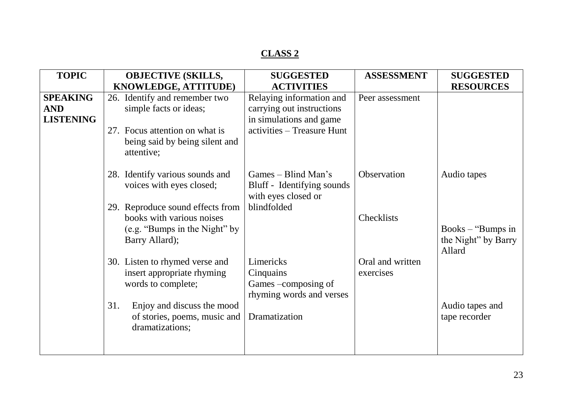| <b>TOPIC</b>     | <b>OBJECTIVE (SKILLS,</b>                                                    | <b>SUGGESTED</b>                                                         | <b>ASSESSMENT</b> | <b>SUGGESTED</b>                                     |
|------------------|------------------------------------------------------------------------------|--------------------------------------------------------------------------|-------------------|------------------------------------------------------|
|                  | <b>KNOWLEDGE, ATTITUDE)</b>                                                  | <b>ACTIVITIES</b>                                                        |                   | <b>RESOURCES</b>                                     |
| <b>SPEAKING</b>  | 26. Identify and remember two                                                | Relaying information and                                                 | Peer assessment   |                                                      |
| <b>AND</b>       | simple facts or ideas;                                                       | carrying out instructions                                                |                   |                                                      |
| <b>LISTENING</b> |                                                                              | in simulations and game                                                  |                   |                                                      |
|                  | 27. Focus attention on what is                                               | activities – Treasure Hunt                                               |                   |                                                      |
|                  | being said by being silent and<br>attentive;                                 |                                                                          |                   |                                                      |
|                  | 28. Identify various sounds and<br>voices with eyes closed;                  | Games – Blind Man's<br>Bluff - Identifying sounds<br>with eyes closed or | Observation       | Audio tapes                                          |
|                  | 29. Reproduce sound effects from                                             | blindfolded                                                              |                   |                                                      |
|                  | books with various noises<br>(e.g. "Bumps in the Night" by<br>Barry Allard); |                                                                          | Checklists        | Books $-$ "Bumps in<br>the Night" by Barry<br>Allard |
|                  | 30. Listen to rhymed verse and                                               | Limericks                                                                | Oral and written  |                                                      |
|                  | insert appropriate rhyming<br>words to complete;                             | Cinquains<br>Games –composing of                                         | exercises         |                                                      |
|                  |                                                                              | rhyming words and verses                                                 |                   |                                                      |
|                  | Enjoy and discuss the mood<br>31.                                            |                                                                          |                   | Audio tapes and                                      |
|                  | of stories, poems, music and                                                 | Dramatization                                                            |                   | tape recorder                                        |
|                  | dramatizations;                                                              |                                                                          |                   |                                                      |
|                  |                                                                              |                                                                          |                   |                                                      |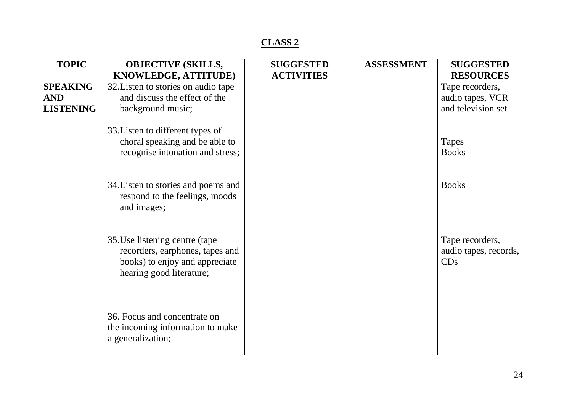| <b>TOPIC</b>     | <b>OBJECTIVE (SKILLS,</b>                                                                                                       | <b>SUGGESTED</b>  | <b>ASSESSMENT</b> | <b>SUGGESTED</b>                                |
|------------------|---------------------------------------------------------------------------------------------------------------------------------|-------------------|-------------------|-------------------------------------------------|
|                  | KNOWLEDGE, ATTITUDE)                                                                                                            | <b>ACTIVITIES</b> |                   | <b>RESOURCES</b>                                |
| <b>SPEAKING</b>  | 32. Listen to stories on audio tape                                                                                             |                   |                   | Tape recorders,                                 |
| <b>AND</b>       | and discuss the effect of the                                                                                                   |                   |                   | audio tapes, VCR                                |
| <b>LISTENING</b> | background music;                                                                                                               |                   |                   | and television set                              |
|                  | 33. Listen to different types of<br>choral speaking and be able to                                                              |                   |                   | Tapes<br><b>Books</b>                           |
|                  | recognise intonation and stress;                                                                                                |                   |                   |                                                 |
|                  | 34. Listen to stories and poems and<br>respond to the feelings, moods<br>and images;                                            |                   |                   | <b>Books</b>                                    |
|                  | 35. Use listening centre (tape<br>recorders, earphones, tapes and<br>books) to enjoy and appreciate<br>hearing good literature; |                   |                   | Tape recorders,<br>audio tapes, records,<br>CDs |
|                  | 36. Focus and concentrate on<br>the incoming information to make<br>a generalization;                                           |                   |                   |                                                 |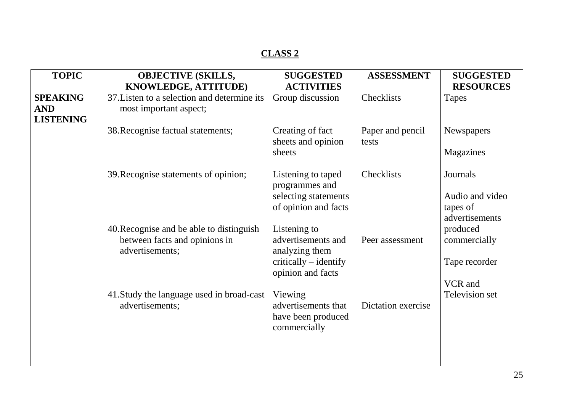| <b>TOPIC</b>                                      | <b>OBJECTIVE (SKILLS,</b>                                                                    | <b>SUGGESTED</b>                                                                                   | <b>ASSESSMENT</b>         | <b>SUGGESTED</b>                                          |
|---------------------------------------------------|----------------------------------------------------------------------------------------------|----------------------------------------------------------------------------------------------------|---------------------------|-----------------------------------------------------------|
|                                                   | KNOWLEDGE, ATTITUDE)                                                                         | <b>ACTIVITIES</b>                                                                                  |                           | <b>RESOURCES</b>                                          |
| <b>SPEAKING</b><br><b>AND</b><br><b>LISTENING</b> | 37. Listen to a selection and determine its<br>most important aspect;                        | Group discussion                                                                                   | Checklists                | <b>Tapes</b>                                              |
|                                                   | 38. Recognise factual statements;                                                            | Creating of fact<br>sheets and opinion<br>sheets                                                   | Paper and pencil<br>tests | <b>Newspapers</b><br>Magazines                            |
|                                                   | 39. Recognise statements of opinion;                                                         | Listening to taped<br>programmes and<br>selecting statements<br>of opinion and facts               | Checklists                | Journals<br>Audio and video<br>tapes of<br>advertisements |
|                                                   | 40. Recognise and be able to distinguish<br>between facts and opinions in<br>advertisements; | Listening to<br>advertisements and<br>analyzing them<br>critically – identify<br>opinion and facts | Peer assessment           | produced<br>commercially<br>Tape recorder<br>VCR and      |
|                                                   | 41. Study the language used in broad-cast<br>advertisements;                                 | Viewing<br>advertisements that<br>have been produced<br>commercially                               | Dictation exercise        | Television set                                            |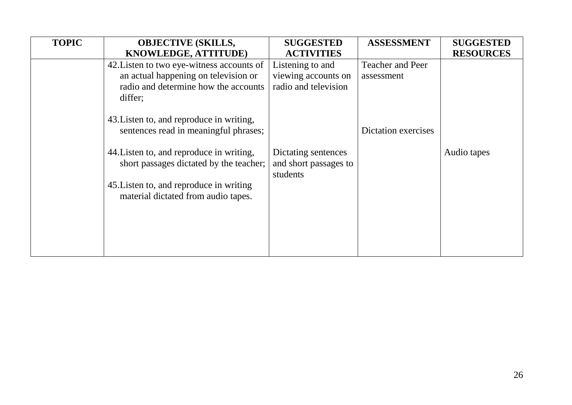| <b>TOPIC</b> | <b>OBJECTIVE (SKILLS,</b><br>KNOWLEDGE, ATTITUDE)                                                                                    | <b>SUGGESTED</b><br><b>ACTIVITIES</b>                           | <b>ASSESSMENT</b>                     | <b>SUGGESTED</b><br><b>RESOURCES</b> |
|--------------|--------------------------------------------------------------------------------------------------------------------------------------|-----------------------------------------------------------------|---------------------------------------|--------------------------------------|
|              | 42. Listen to two eye-witness accounts of<br>an actual happening on television or<br>radio and determine how the accounts<br>differ; | Listening to and<br>viewing accounts on<br>radio and television | <b>Teacher and Peer</b><br>assessment |                                      |
|              | 43. Listen to, and reproduce in writing,<br>sentences read in meaningful phrases;                                                    |                                                                 | <b>Dictation exercises</b>            |                                      |
|              | 44. Listen to, and reproduce in writing,<br>short passages dictated by the teacher;                                                  | Dictating sentences<br>and short passages to<br>students        |                                       | Audio tapes                          |
|              | 45. Listen to, and reproduce in writing<br>material dictated from audio tapes.                                                       |                                                                 |                                       |                                      |
|              |                                                                                                                                      |                                                                 |                                       |                                      |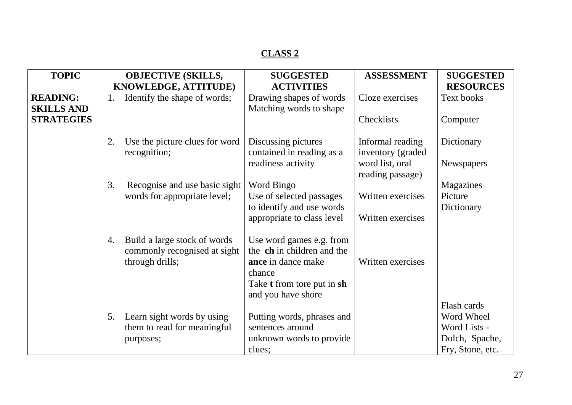| <b>TOPIC</b>                         |    | <b>OBJECTIVE (SKILLS,</b>                                                       | <b>SUGGESTED</b>                                                                       | <b>ASSESSMENT</b>                      | <b>SUGGESTED</b>  |
|--------------------------------------|----|---------------------------------------------------------------------------------|----------------------------------------------------------------------------------------|----------------------------------------|-------------------|
|                                      |    | KNOWLEDGE, ATTITUDE)                                                            | <b>ACTIVITIES</b>                                                                      |                                        | <b>RESOURCES</b>  |
| <b>READING:</b><br><b>SKILLS AND</b> | 1. | Identify the shape of words;                                                    | Drawing shapes of words<br>Matching words to shape                                     | Cloze exercises                        | Text books        |
| <b>STRATEGIES</b>                    |    |                                                                                 |                                                                                        | Checklists                             | Computer          |
|                                      | 2. | Use the picture clues for word<br>recognition;                                  | Discussing pictures<br>contained in reading as a                                       | Informal reading<br>inventory (graded) | Dictionary        |
|                                      |    |                                                                                 | readiness activity                                                                     | word list, oral<br>reading passage)    | <b>Newspapers</b> |
|                                      | 3. | Recognise and use basic sight                                                   | Word Bingo                                                                             |                                        | Magazines         |
|                                      |    | words for appropriate level;                                                    | Use of selected passages                                                               | Written exercises                      | Picture           |
|                                      |    |                                                                                 | to identify and use words                                                              |                                        | Dictionary        |
|                                      |    |                                                                                 | appropriate to class level                                                             | Written exercises                      |                   |
|                                      | 4. | Build a large stock of words<br>commonly recognised at sight<br>through drills; | Use word games e.g. from<br>the ch in children and the<br>ance in dance make<br>chance | Written exercises                      |                   |
|                                      |    |                                                                                 | Take <b>t</b> from tore put in sh<br>and you have shore                                |                                        |                   |
|                                      |    |                                                                                 |                                                                                        |                                        | Flash cards       |
|                                      | 5. | Learn sight words by using                                                      | Putting words, phrases and                                                             |                                        | Word Wheel        |
|                                      |    | them to read for meaningful                                                     | sentences around                                                                       |                                        | Word Lists -      |
|                                      |    | purposes;                                                                       | unknown words to provide                                                               |                                        | Dolch, Spache,    |
|                                      |    |                                                                                 | clues;                                                                                 |                                        | Fry, Stone, etc.  |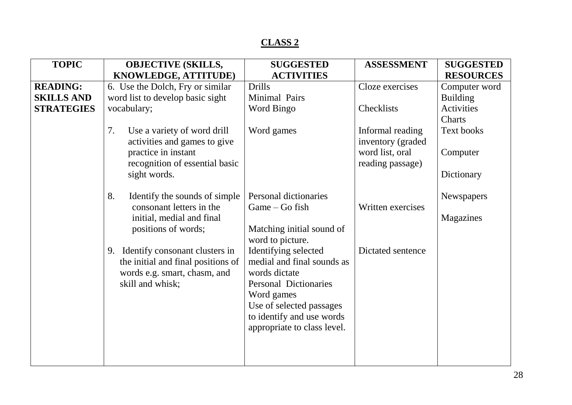| <b>TOPIC</b>      | <b>OBJECTIVE (SKILLS,</b>            | <b>SUGGESTED</b>             | <b>ASSESSMENT</b>  | <b>SUGGESTED</b>  |
|-------------------|--------------------------------------|------------------------------|--------------------|-------------------|
|                   | KNOWLEDGE, ATTITUDE)                 | <b>ACTIVITIES</b>            |                    | <b>RESOURCES</b>  |
| <b>READING:</b>   | 6. Use the Dolch, Fry or similar     | <b>Drills</b>                | Cloze exercises    | Computer word     |
| <b>SKILLS AND</b> | word list to develop basic sight     | Minimal Pairs                |                    | <b>Building</b>   |
| <b>STRATEGIES</b> | vocabulary;                          | Word Bingo                   | Checklists         | <b>Activities</b> |
|                   |                                      |                              |                    | Charts            |
|                   | 7.<br>Use a variety of word drill    | Word games                   | Informal reading   | Text books        |
|                   | activities and games to give         |                              | inventory (graded) |                   |
|                   | practice in instant                  |                              | word list, oral    | Computer          |
|                   | recognition of essential basic       |                              | reading passage)   |                   |
|                   | sight words.                         |                              |                    | Dictionary        |
|                   |                                      |                              |                    |                   |
|                   | Identify the sounds of simple<br>8.  | Personal dictionaries        |                    | Newspapers        |
|                   | consonant letters in the             | Game – Go fish               | Written exercises  |                   |
|                   | initial, medial and final            |                              |                    | Magazines         |
|                   | positions of words;                  | Matching initial sound of    |                    |                   |
|                   |                                      | word to picture.             |                    |                   |
|                   | Identify consonant clusters in<br>9. | Identifying selected         | Dictated sentence  |                   |
|                   | the initial and final positions of   | medial and final sounds as   |                    |                   |
|                   | words e.g. smart, chasm, and         | words dictate                |                    |                   |
|                   | skill and whisk;                     | <b>Personal Dictionaries</b> |                    |                   |
|                   |                                      | Word games                   |                    |                   |
|                   |                                      | Use of selected passages     |                    |                   |
|                   |                                      | to identify and use words    |                    |                   |
|                   |                                      | appropriate to class level.  |                    |                   |
|                   |                                      |                              |                    |                   |
|                   |                                      |                              |                    |                   |
|                   |                                      |                              |                    |                   |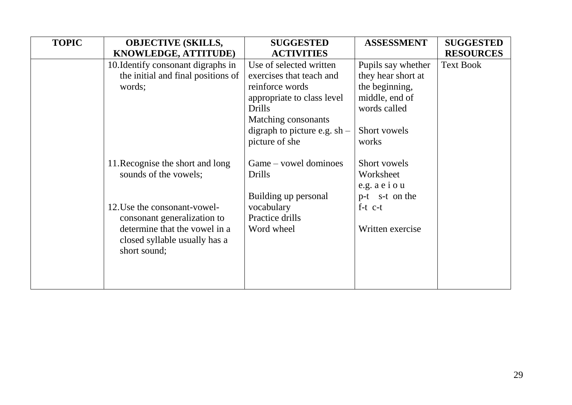| <b>TOPIC</b> | <b>OBJECTIVE (SKILLS,</b>          | <b>SUGGESTED</b>               | <b>ASSESSMENT</b>  | <b>SUGGESTED</b> |
|--------------|------------------------------------|--------------------------------|--------------------|------------------|
|              | KNOWLEDGE, ATTITUDE)               | <b>ACTIVITIES</b>              |                    | <b>RESOURCES</b> |
|              | 10. Identify consonant digraphs in | Use of selected written        | Pupils say whether | <b>Text Book</b> |
|              | the initial and final positions of | exercises that teach and       | they hear short at |                  |
|              | words;                             | reinforce words                | the beginning,     |                  |
|              |                                    | appropriate to class level     | middle, end of     |                  |
|              |                                    | <b>Drills</b>                  | words called       |                  |
|              |                                    | Matching consonants            |                    |                  |
|              |                                    | digraph to picture e.g. $sh$ – | Short vowels       |                  |
|              |                                    | picture of she                 | works              |                  |
|              |                                    |                                |                    |                  |
|              | 11. Recognise the short and long   | Game – vowel dominoes          | Short vowels       |                  |
|              | sounds of the vowels;              | <b>Drills</b>                  | Worksheet          |                  |
|              |                                    |                                | e.g. $a e i o u$   |                  |
|              |                                    | Building up personal           | p-t s-t on the     |                  |
|              | 12. Use the consonant-vowel-       | vocabulary                     | $f-t$ $c-t$        |                  |
|              | consonant generalization to        | Practice drills                |                    |                  |
|              | determine that the vowel in a      | Word wheel                     | Written exercise   |                  |
|              | closed syllable usually has a      |                                |                    |                  |
|              | short sound;                       |                                |                    |                  |
|              |                                    |                                |                    |                  |
|              |                                    |                                |                    |                  |
|              |                                    |                                |                    |                  |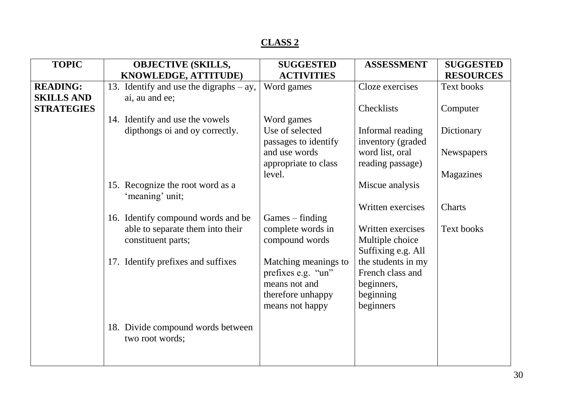| <b>TOPIC</b>      | <b>OBJECTIVE (SKILLS,</b>                            | <b>SUGGESTED</b>     | <b>ASSESSMENT</b>  | <b>SUGGESTED</b>  |
|-------------------|------------------------------------------------------|----------------------|--------------------|-------------------|
|                   | KNOWLEDGE, ATTITUDE)                                 | <b>ACTIVITIES</b>    |                    | <b>RESOURCES</b>  |
| <b>READING:</b>   | 13. Identify and use the digraphs $- ay$ ,           | Word games           | Cloze exercises    | <b>Text books</b> |
| <b>SKILLS AND</b> | ai, au and ee;                                       |                      |                    |                   |
| <b>STRATEGIES</b> |                                                      |                      | Checklists         | Computer          |
|                   | 14. Identify and use the vowels                      | Word games           |                    |                   |
|                   | dipthongs oi and oy correctly.                       | Use of selected      | Informal reading   | Dictionary        |
|                   |                                                      | passages to identify | inventory (graded) |                   |
|                   |                                                      | and use words        | word list, oral    | <b>Newspapers</b> |
|                   |                                                      | appropriate to class | reading passage)   |                   |
|                   |                                                      | level.               |                    | Magazines         |
|                   | 15. Recognize the root word as a<br>'meaning' unit;  |                      | Miscue analysis    |                   |
|                   |                                                      |                      | Written exercises  | Charts            |
|                   | 16. Identify compound words and be                   | $Games - finding$    |                    |                   |
|                   | able to separate them into their                     | complete words in    | Written exercises  | <b>Text books</b> |
|                   | constituent parts;                                   | compound words       | Multiple choice    |                   |
|                   |                                                      |                      | Suffixing e.g. All |                   |
|                   | 17. Identify prefixes and suffixes                   | Matching meanings to | the students in my |                   |
|                   |                                                      | prefixes e.g. "un"   | French class and   |                   |
|                   |                                                      | means not and        | beginners,         |                   |
|                   |                                                      | therefore unhappy    | beginning          |                   |
|                   |                                                      | means not happy      | beginners          |                   |
|                   |                                                      |                      |                    |                   |
|                   | 18. Divide compound words between<br>two root words; |                      |                    |                   |
|                   |                                                      |                      |                    |                   |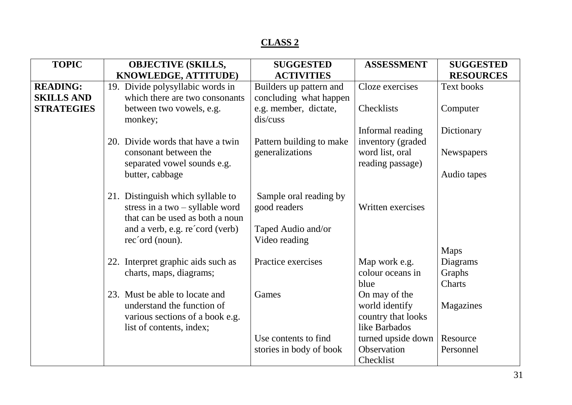| <b>TOPIC</b>      | <b>OBJECTIVE (SKILLS,</b>           | <b>SUGGESTED</b>                  | <b>ASSESSMENT</b>  | <b>SUGGESTED</b>  |
|-------------------|-------------------------------------|-----------------------------------|--------------------|-------------------|
|                   | KNOWLEDGE, ATTITUDE)                | <b>ACTIVITIES</b>                 |                    | <b>RESOURCES</b>  |
| <b>READING:</b>   | 19. Divide polysyllabic words in    | Builders up pattern and           | Cloze exercises    | <b>Text books</b> |
| <b>SKILLS AND</b> | which there are two consonants      | concluding what happen            |                    |                   |
| <b>STRATEGIES</b> | between two vowels, e.g.<br>monkey; | e.g. member, dictate,<br>dis/cuss | Checklists         | Computer          |
|                   |                                     |                                   | Informal reading   | Dictionary        |
|                   | 20. Divide words that have a twin   | Pattern building to make          | inventory (graded) |                   |
|                   | consonant between the               | generalizations                   | word list, oral    | <b>Newspapers</b> |
|                   | separated vowel sounds e.g.         |                                   | reading passage)   |                   |
|                   | butter, cabbage                     |                                   |                    | Audio tapes       |
|                   |                                     |                                   |                    |                   |
|                   |                                     |                                   |                    |                   |
|                   | 21. Distinguish which syllable to   | Sample oral reading by            |                    |                   |
|                   | stress in a two $-$ syllable word   | good readers                      | Written exercises  |                   |
|                   | that can be used as both a noun     |                                   |                    |                   |
|                   | and a verb, e.g. re'cord (verb)     | Taped Audio and/or                |                    |                   |
|                   | rec'ord (noun).                     | Video reading                     |                    |                   |
|                   |                                     |                                   |                    | <b>Maps</b>       |
|                   | 22. Interpret graphic aids such as  | Practice exercises                | Map work e.g.      | Diagrams          |
|                   | charts, maps, diagrams;             |                                   | colour oceans in   | Graphs            |
|                   |                                     |                                   | blue               | Charts            |
|                   | 23. Must be able to locate and      | Games                             | On may of the      |                   |
|                   | understand the function of          |                                   | world identify     | Magazines         |
|                   | various sections of a book e.g.     |                                   | country that looks |                   |
|                   | list of contents, index;            |                                   | like Barbados      |                   |
|                   |                                     | Use contents to find              | turned upside down | Resource          |
|                   |                                     |                                   | Observation        | Personnel         |
|                   |                                     | stories in body of book           |                    |                   |
|                   |                                     |                                   | Checklist          |                   |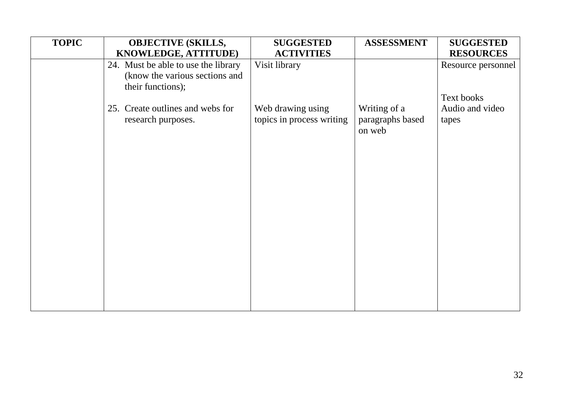| <b>TOPIC</b> | <b>OBJECTIVE (SKILLS,</b>                                                                  | <b>SUGGESTED</b>                               | <b>ASSESSMENT</b>                          | <b>SUGGESTED</b>         |
|--------------|--------------------------------------------------------------------------------------------|------------------------------------------------|--------------------------------------------|--------------------------|
|              | KNOWLEDGE, ATTITUDE)                                                                       | <b>ACTIVITIES</b>                              |                                            | <b>RESOURCES</b>         |
|              | 24. Must be able to use the library<br>(know the various sections and<br>their functions); | Visit library                                  |                                            | Resource personnel       |
|              |                                                                                            |                                                |                                            | Text books               |
|              | 25. Create outlines and webs for<br>research purposes.                                     | Web drawing using<br>topics in process writing | Writing of a<br>paragraphs based<br>on web | Audio and video<br>tapes |
|              |                                                                                            |                                                |                                            |                          |
|              |                                                                                            |                                                |                                            |                          |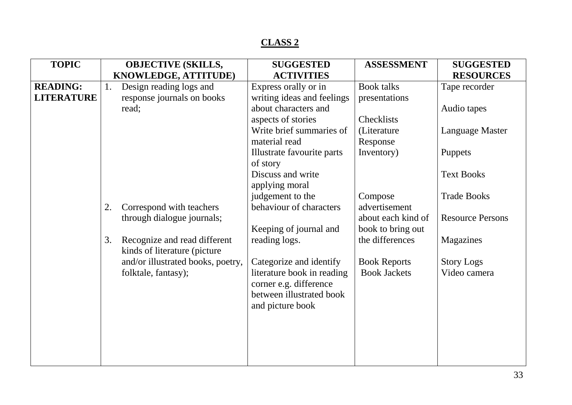| <b>TOPIC</b>      |    | <b>OBJECTIVE (SKILLS,</b>         | <b>SUGGESTED</b>                                   | <b>ASSESSMENT</b>   | <b>SUGGESTED</b>        |
|-------------------|----|-----------------------------------|----------------------------------------------------|---------------------|-------------------------|
|                   |    | KNOWLEDGE, ATTITUDE)              | <b>ACTIVITIES</b>                                  |                     | <b>RESOURCES</b>        |
| <b>READING:</b>   | 1. | Design reading logs and           | Express orally or in                               | <b>Book talks</b>   | Tape recorder           |
| <b>LITERATURE</b> |    | response journals on books        | writing ideas and feelings                         | presentations       |                         |
|                   |    | read;                             | about characters and                               |                     | Audio tapes             |
|                   |    |                                   | aspects of stories                                 | Checklists          |                         |
|                   |    |                                   | Write brief summaries of                           | (Literature         | Language Master         |
|                   |    |                                   | material read                                      | Response            |                         |
|                   |    |                                   | Illustrate favourite parts                         | Inventory)          | Puppets                 |
|                   |    |                                   | of story                                           |                     |                         |
|                   |    |                                   | Discuss and write                                  |                     | <b>Text Books</b>       |
|                   |    |                                   | applying moral                                     |                     |                         |
|                   |    |                                   | judgement to the                                   | Compose             | <b>Trade Books</b>      |
|                   | 2. | Correspond with teachers          | behaviour of characters                            | advertisement       |                         |
|                   |    | through dialogue journals;        |                                                    | about each kind of  | <b>Resource Persons</b> |
|                   |    |                                   | Keeping of journal and                             | book to bring out   |                         |
|                   | 3. | Recognize and read different      | reading logs.                                      | the differences     | Magazines               |
|                   |    | kinds of literature (picture)     |                                                    |                     |                         |
|                   |    | and/or illustrated books, poetry, | Categorize and identify                            | <b>Book Reports</b> | <b>Story Logs</b>       |
|                   |    | folktale, fantasy);               | literature book in reading                         | <b>Book Jackets</b> | Video camera            |
|                   |    |                                   | corner e.g. difference<br>between illustrated book |                     |                         |
|                   |    |                                   |                                                    |                     |                         |
|                   |    |                                   | and picture book                                   |                     |                         |
|                   |    |                                   |                                                    |                     |                         |
|                   |    |                                   |                                                    |                     |                         |
|                   |    |                                   |                                                    |                     |                         |
|                   |    |                                   |                                                    |                     |                         |
|                   |    |                                   |                                                    |                     |                         |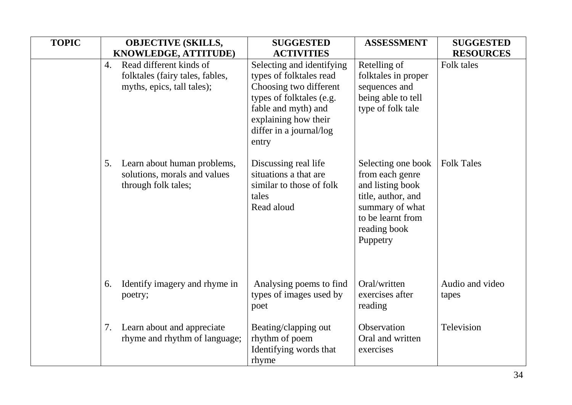| <b>TOPIC</b> | <b>OBJECTIVE (SKILLS,</b>                                                                      | <b>SUGGESTED</b>                                                                                                                                                                              | <b>ASSESSMENT</b>                                                                                                                                   | <b>SUGGESTED</b>         |
|--------------|------------------------------------------------------------------------------------------------|-----------------------------------------------------------------------------------------------------------------------------------------------------------------------------------------------|-----------------------------------------------------------------------------------------------------------------------------------------------------|--------------------------|
|              | KNOWLEDGE, ATTITUDE)                                                                           | <b>ACTIVITIES</b>                                                                                                                                                                             |                                                                                                                                                     | <b>RESOURCES</b>         |
|              | Read different kinds of<br>4.<br>folktales (fairy tales, fables,<br>myths, epics, tall tales); | Selecting and identifying<br>types of folktales read<br>Choosing two different<br>types of folktales (e.g.<br>fable and myth) and<br>explaining how their<br>differ in a journal/log<br>entry | Retelling of<br>folktales in proper<br>sequences and<br>being able to tell<br>type of folk tale                                                     | Folk tales               |
|              | Learn about human problems,<br>5.<br>solutions, morals and values<br>through folk tales;       | Discussing real life<br>situations a that are<br>similar to those of folk<br>tales<br>Read aloud                                                                                              | Selecting one book<br>from each genre<br>and listing book<br>title, author, and<br>summary of what<br>to be learnt from<br>reading book<br>Puppetry | <b>Folk Tales</b>        |
|              | Identify imagery and rhyme in<br>6.<br>poetry;                                                 | Analysing poems to find<br>types of images used by<br>poet                                                                                                                                    | Oral/written<br>exercises after<br>reading                                                                                                          | Audio and video<br>tapes |
|              | Learn about and appreciate<br>7.<br>rhyme and rhythm of language;                              | Beating/clapping out<br>rhythm of poem<br>Identifying words that<br>rhyme                                                                                                                     | Observation<br>Oral and written<br>exercises                                                                                                        | Television               |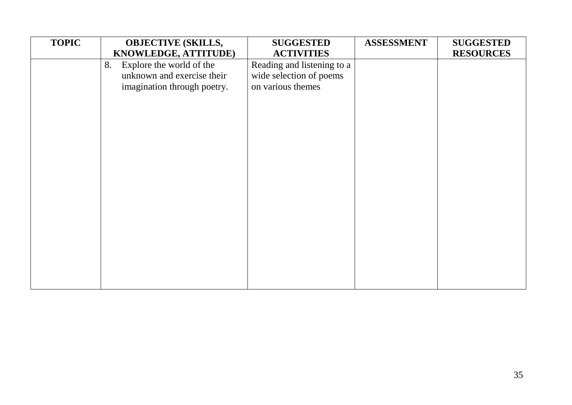| <b>TOPIC</b> | <b>OBJECTIVE (SKILLS,</b>      | <b>SUGGESTED</b>           | <b>ASSESSMENT</b> | <b>SUGGESTED</b> |
|--------------|--------------------------------|----------------------------|-------------------|------------------|
|              | KNOWLEDGE, ATTITUDE)           | <b>ACTIVITIES</b>          |                   | <b>RESOURCES</b> |
|              | Explore the world of the<br>8. | Reading and listening to a |                   |                  |
|              | unknown and exercise their     | wide selection of poems    |                   |                  |
|              | imagination through poetry.    | on various themes          |                   |                  |
|              |                                |                            |                   |                  |
|              |                                |                            |                   |                  |
|              |                                |                            |                   |                  |
|              |                                |                            |                   |                  |
|              |                                |                            |                   |                  |
|              |                                |                            |                   |                  |
|              |                                |                            |                   |                  |
|              |                                |                            |                   |                  |
|              |                                |                            |                   |                  |
|              |                                |                            |                   |                  |
|              |                                |                            |                   |                  |
|              |                                |                            |                   |                  |
|              |                                |                            |                   |                  |
|              |                                |                            |                   |                  |
|              |                                |                            |                   |                  |
|              |                                |                            |                   |                  |
|              |                                |                            |                   |                  |
|              |                                |                            |                   |                  |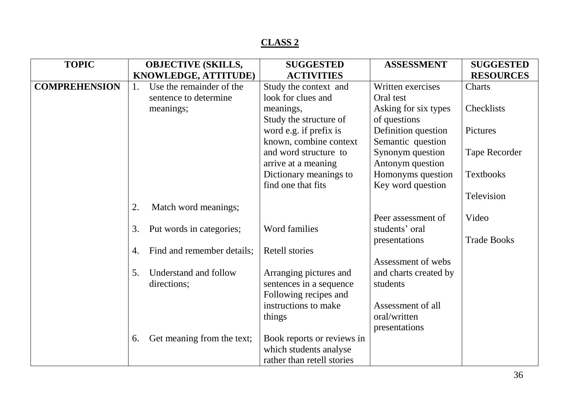| <b>TOPIC</b>         | <b>OBJECTIVE (SKILLS,</b>        | <b>SUGGESTED</b>           | <b>ASSESSMENT</b>     | <b>SUGGESTED</b>   |
|----------------------|----------------------------------|----------------------------|-----------------------|--------------------|
|                      | KNOWLEDGE, ATTITUDE)             | <b>ACTIVITIES</b>          |                       | <b>RESOURCES</b>   |
| <b>COMPREHENSION</b> | Use the remainder of the<br>1.   | Study the context and      | Written exercises     | Charts             |
|                      | sentence to determine            | look for clues and         | Oral test             |                    |
|                      | meanings;                        | meanings,                  | Asking for six types  | Checklists         |
|                      |                                  | Study the structure of     | of questions          |                    |
|                      |                                  | word e.g. if prefix is     | Definition question   | Pictures           |
|                      |                                  | known, combine context     | Semantic question     |                    |
|                      |                                  | and word structure to      | Synonym question      | Tape Recorder      |
|                      |                                  | arrive at a meaning        | Antonym question      |                    |
|                      |                                  | Dictionary meanings to     | Homonyms question     | <b>Textbooks</b>   |
|                      |                                  | find one that fits         | Key word question     |                    |
|                      |                                  |                            |                       | Television         |
|                      | 2.<br>Match word meanings;       |                            |                       |                    |
|                      |                                  |                            | Peer assessment of    | Video              |
|                      | 3.<br>Put words in categories;   | Word families              | students' oral        |                    |
|                      |                                  |                            | presentations         | <b>Trade Books</b> |
|                      | Find and remember details;<br>4. | <b>Retell stories</b>      |                       |                    |
|                      |                                  |                            | Assessment of webs    |                    |
|                      | 5.<br>Understand and follow      | Arranging pictures and     | and charts created by |                    |
|                      | directions;                      | sentences in a sequence    | students              |                    |
|                      |                                  | Following recipes and      |                       |                    |
|                      |                                  | instructions to make       | Assessment of all     |                    |
|                      |                                  | things                     | oral/written          |                    |
|                      |                                  |                            | presentations         |                    |
|                      | Get meaning from the text;<br>6. | Book reports or reviews in |                       |                    |
|                      |                                  | which students analyse     |                       |                    |
|                      |                                  | rather than retell stories |                       |                    |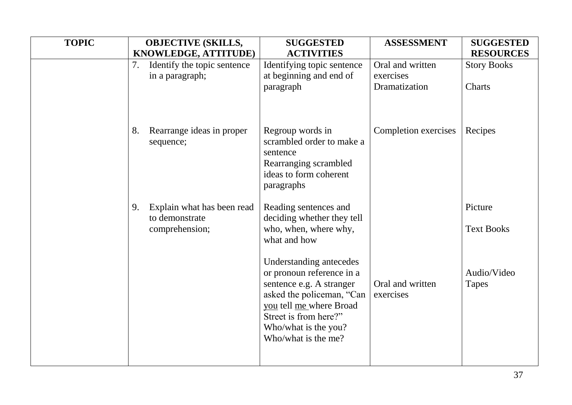| <b>TOPIC</b> |    | <b>OBJECTIVE (SKILLS,</b>              | <b>SUGGESTED</b>                                                                                                                                                                                                 | <b>ASSESSMENT</b>             | <b>SUGGESTED</b>            |
|--------------|----|----------------------------------------|------------------------------------------------------------------------------------------------------------------------------------------------------------------------------------------------------------------|-------------------------------|-----------------------------|
|              |    | KNOWLEDGE, ATTITUDE)                   | <b>ACTIVITIES</b>                                                                                                                                                                                                |                               | <b>RESOURCES</b>            |
|              | 7. | Identify the topic sentence            | Identifying topic sentence                                                                                                                                                                                       | Oral and written              | <b>Story Books</b>          |
|              |    | in a paragraph;                        | at beginning and end of                                                                                                                                                                                          | exercises                     |                             |
|              |    |                                        | paragraph                                                                                                                                                                                                        | Dramatization                 | Charts                      |
|              |    |                                        |                                                                                                                                                                                                                  |                               |                             |
|              | 8. | Rearrange ideas in proper<br>sequence; | Regroup words in<br>scrambled order to make a<br>sentence                                                                                                                                                        | Completion exercises          | Recipes                     |
|              |    |                                        | Rearranging scrambled<br>ideas to form coherent<br>paragraphs                                                                                                                                                    |                               |                             |
|              | 9. | Explain what has been read             | Reading sentences and                                                                                                                                                                                            |                               | Picture                     |
|              |    | to demonstrate<br>comprehension;       | deciding whether they tell<br>who, when, where why,<br>what and how                                                                                                                                              |                               | <b>Text Books</b>           |
|              |    |                                        | Understanding antecedes<br>or pronoun reference in a<br>sentence e.g. A stranger<br>asked the policeman, "Can<br>you tell me where Broad<br>Street is from here?"<br>Who/what is the you?<br>Who/what is the me? | Oral and written<br>exercises | Audio/Video<br><b>Tapes</b> |
|              |    |                                        |                                                                                                                                                                                                                  |                               |                             |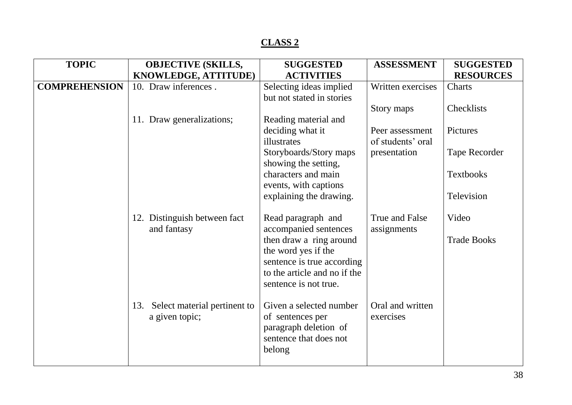| <b>TOPIC</b>         | <b>OBJECTIVE (SKILLS,</b>           | <b>SUGGESTED</b>             | <b>ASSESSMENT</b> | <b>SUGGESTED</b>   |
|----------------------|-------------------------------------|------------------------------|-------------------|--------------------|
|                      | KNOWLEDGE, ATTITUDE)                | <b>ACTIVITIES</b>            |                   | <b>RESOURCES</b>   |
| <b>COMPREHENSION</b> | 10. Draw inferences.                | Selecting ideas implied      | Written exercises | Charts             |
|                      |                                     | but not stated in stories    |                   |                    |
|                      |                                     |                              | Story maps        | Checklists         |
|                      | 11. Draw generalizations;           | Reading material and         |                   |                    |
|                      |                                     | deciding what it             | Peer assessment   | Pictures           |
|                      |                                     | illustrates                  | of students' oral |                    |
|                      |                                     | Storyboards/Story maps       | presentation      | Tape Recorder      |
|                      |                                     | showing the setting,         |                   |                    |
|                      |                                     | characters and main          |                   | <b>Textbooks</b>   |
|                      |                                     | events, with captions        |                   |                    |
|                      |                                     | explaining the drawing.      |                   | Television         |
|                      | 12. Distinguish between fact        | Read paragraph and           | True and False    | Video              |
|                      | and fantasy                         | accompanied sentences        | assignments       |                    |
|                      |                                     | then draw a ring around      |                   | <b>Trade Books</b> |
|                      |                                     | the word yes if the          |                   |                    |
|                      |                                     | sentence is true according   |                   |                    |
|                      |                                     | to the article and no if the |                   |                    |
|                      |                                     | sentence is not true.        |                   |                    |
|                      |                                     |                              |                   |                    |
|                      | Select material pertinent to<br>13. | Given a selected number      | Oral and written  |                    |
|                      | a given topic;                      | of sentences per             | exercises         |                    |
|                      |                                     | paragraph deletion of        |                   |                    |
|                      |                                     | sentence that does not       |                   |                    |
|                      |                                     | belong                       |                   |                    |
|                      |                                     |                              |                   |                    |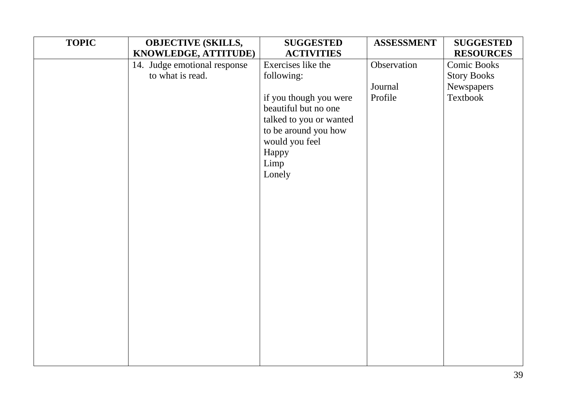| <b>TOPIC</b> | <b>OBJECTIVE (SKILLS,</b>    | <b>SUGGESTED</b>        | <b>ASSESSMENT</b> | <b>SUGGESTED</b>   |
|--------------|------------------------------|-------------------------|-------------------|--------------------|
|              | KNOWLEDGE, ATTITUDE)         | <b>ACTIVITIES</b>       |                   | <b>RESOURCES</b>   |
|              | 14. Judge emotional response | Exercises like the      | Observation       | <b>Comic Books</b> |
|              | to what is read.             | following:              |                   | <b>Story Books</b> |
|              |                              |                         | Journal           | Newspapers         |
|              |                              | if you though you were  | Profile           | Textbook           |
|              |                              | beautiful but no one    |                   |                    |
|              |                              | talked to you or wanted |                   |                    |
|              |                              | to be around you how    |                   |                    |
|              |                              | would you feel<br>Happy |                   |                    |
|              |                              | Limp                    |                   |                    |
|              |                              | Lonely                  |                   |                    |
|              |                              |                         |                   |                    |
|              |                              |                         |                   |                    |
|              |                              |                         |                   |                    |
|              |                              |                         |                   |                    |
|              |                              |                         |                   |                    |
|              |                              |                         |                   |                    |
|              |                              |                         |                   |                    |
|              |                              |                         |                   |                    |
|              |                              |                         |                   |                    |
|              |                              |                         |                   |                    |
|              |                              |                         |                   |                    |
|              |                              |                         |                   |                    |
|              |                              |                         |                   |                    |
|              |                              |                         |                   |                    |
|              |                              |                         |                   |                    |
|              |                              |                         |                   |                    |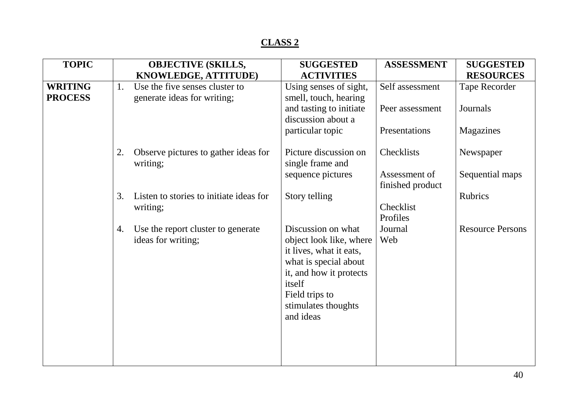| <b>TOPIC</b>   |    | <b>OBJECTIVE (SKILLS,</b>                                | <b>SUGGESTED</b>                                                                                                                                                                             | <b>ASSESSMENT</b>                 | <b>SUGGESTED</b>        |
|----------------|----|----------------------------------------------------------|----------------------------------------------------------------------------------------------------------------------------------------------------------------------------------------------|-----------------------------------|-------------------------|
|                |    | KNOWLEDGE, ATTITUDE)                                     | <b>ACTIVITIES</b>                                                                                                                                                                            |                                   | <b>RESOURCES</b>        |
| <b>WRITING</b> | 1. | Use the five senses cluster to                           | Using senses of sight,                                                                                                                                                                       | Self assessment                   | <b>Tape Recorder</b>    |
| <b>PROCESS</b> |    | generate ideas for writing;                              | smell, touch, hearing<br>and tasting to initiate<br>discussion about a<br>particular topic                                                                                                   | Peer assessment<br>Presentations  | Journals<br>Magazines   |
|                |    |                                                          |                                                                                                                                                                                              |                                   |                         |
|                | 2. | Observe pictures to gather ideas for<br>writing;         | Picture discussion on<br>single frame and                                                                                                                                                    | Checklists                        | Newspaper               |
|                |    |                                                          | sequence pictures                                                                                                                                                                            | Assessment of<br>finished product | Sequential maps         |
|                | 3. | Listen to stories to initiate ideas for<br>writing;      | Story telling                                                                                                                                                                                | Checklist<br>Profiles             | <b>Rubrics</b>          |
|                | 4. | Use the report cluster to generate<br>ideas for writing; | Discussion on what<br>object look like, where<br>it lives, what it eats,<br>what is special about<br>it, and how it protects<br>itself<br>Field trips to<br>stimulates thoughts<br>and ideas | Journal<br>Web                    | <b>Resource Persons</b> |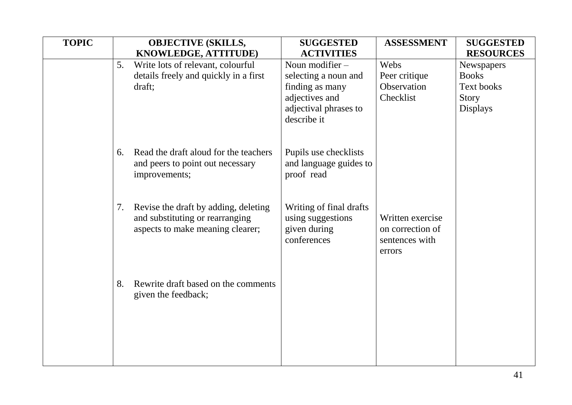| <b>TOPIC</b> | <b>OBJECTIVE (SKILLS,</b> |                                       | <b>SUGGESTED</b>                     | <b>ASSESSMENT</b> | <b>SUGGESTED</b> |
|--------------|---------------------------|---------------------------------------|--------------------------------------|-------------------|------------------|
|              |                           | KNOWLEDGE, ATTITUDE)                  | <b>ACTIVITIES</b>                    |                   | <b>RESOURCES</b> |
|              | 5.                        | Write lots of relevant, colourful     | Noun modifier $-$                    | Webs              | Newspapers       |
|              |                           | details freely and quickly in a first | selecting a noun and                 | Peer critique     | <b>Books</b>     |
|              |                           | draft;                                | finding as many                      | Observation       | Text books       |
|              |                           |                                       | adjectives and                       | Checklist         | Story            |
|              |                           |                                       | adjectival phrases to<br>describe it |                   | <b>Displays</b>  |
|              |                           |                                       |                                      |                   |                  |
|              |                           |                                       |                                      |                   |                  |
|              | 6.                        | Read the draft aloud for the teachers | Pupils use checklists                |                   |                  |
|              |                           | and peers to point out necessary      | and language guides to               |                   |                  |
|              |                           | improvements;                         | proof read                           |                   |                  |
|              |                           |                                       |                                      |                   |                  |
|              | 7.                        | Revise the draft by adding, deleting  | Writing of final drafts              |                   |                  |
|              |                           | and substituting or rearranging       | using suggestions                    | Written exercise  |                  |
|              |                           | aspects to make meaning clearer;      | given during                         | on correction of  |                  |
|              |                           |                                       | conferences                          | sentences with    |                  |
|              |                           |                                       |                                      | errors            |                  |
|              |                           |                                       |                                      |                   |                  |
|              | 8.                        | Rewrite draft based on the comments   |                                      |                   |                  |
|              |                           | given the feedback;                   |                                      |                   |                  |
|              |                           |                                       |                                      |                   |                  |
|              |                           |                                       |                                      |                   |                  |
|              |                           |                                       |                                      |                   |                  |
|              |                           |                                       |                                      |                   |                  |
|              |                           |                                       |                                      |                   |                  |
|              |                           |                                       |                                      |                   |                  |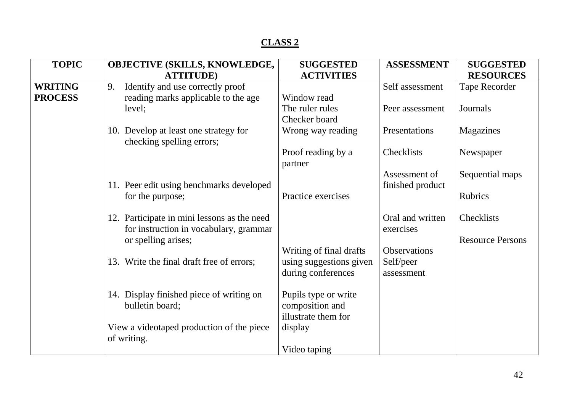| <b>TOPIC</b>   | OBJECTIVE (SKILLS, KNOWLEDGE,               | <b>SUGGESTED</b>        | <b>ASSESSMENT</b>   | <b>SUGGESTED</b>        |
|----------------|---------------------------------------------|-------------------------|---------------------|-------------------------|
|                | <b>ATTITUDE</b> )                           | <b>ACTIVITIES</b>       |                     | <b>RESOURCES</b>        |
| <b>WRITING</b> | Identify and use correctly proof<br>9.      |                         | Self assessment     | Tape Recorder           |
| <b>PROCESS</b> | reading marks applicable to the age         | Window read             |                     |                         |
|                | level;                                      | The ruler rules         | Peer assessment     | Journals                |
|                |                                             | Checker board           |                     |                         |
|                | 10. Develop at least one strategy for       | Wrong way reading       | Presentations       | Magazines               |
|                | checking spelling errors;                   |                         |                     |                         |
|                |                                             | Proof reading by a      | Checklists          | Newspaper               |
|                |                                             | partner                 |                     |                         |
|                |                                             |                         | Assessment of       | Sequential maps         |
|                | 11. Peer edit using benchmarks developed    |                         | finished product    |                         |
|                | for the purpose;                            | Practice exercises      |                     | <b>Rubrics</b>          |
|                |                                             |                         |                     |                         |
|                | 12. Participate in mini lessons as the need |                         | Oral and written    | Checklists              |
|                | for instruction in vocabulary, grammar      |                         | exercises           |                         |
|                | or spelling arises;                         |                         |                     | <b>Resource Persons</b> |
|                |                                             | Writing of final drafts | <b>Observations</b> |                         |
|                | 13. Write the final draft free of errors;   | using suggestions given | Self/peer           |                         |
|                |                                             | during conferences      | assessment          |                         |
|                |                                             |                         |                     |                         |
|                | 14. Display finished piece of writing on    | Pupils type or write    |                     |                         |
|                | bulletin board;                             | composition and         |                     |                         |
|                |                                             | illustrate them for     |                     |                         |
|                | View a videotaped production of the piece   | display                 |                     |                         |
|                | of writing.                                 |                         |                     |                         |
|                |                                             | Video taping            |                     |                         |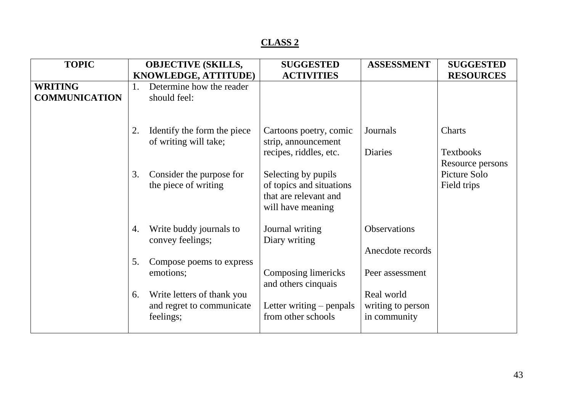| <b>TOPIC</b>                           | <b>OBJECTIVE (SKILLS,</b>                                                  | <b>SUGGESTED</b>                                                                              | <b>ASSESSMENT</b>                               | <b>SUGGESTED</b>                               |
|----------------------------------------|----------------------------------------------------------------------------|-----------------------------------------------------------------------------------------------|-------------------------------------------------|------------------------------------------------|
|                                        | KNOWLEDGE, ATTITUDE)                                                       | <b>ACTIVITIES</b>                                                                             |                                                 | <b>RESOURCES</b>                               |
| <b>WRITING</b><br><b>COMMUNICATION</b> | Determine how the reader<br>1.<br>should feel:                             |                                                                                               |                                                 |                                                |
|                                        | Identify the form the piece<br>2.<br>of writing will take;                 | Cartoons poetry, comic<br>strip, announcement<br>recipes, riddles, etc.                       | Journals<br><b>Diaries</b>                      | Charts<br><b>Textbooks</b><br>Resource persons |
|                                        | 3.<br>Consider the purpose for<br>the piece of writing                     | Selecting by pupils<br>of topics and situations<br>that are relevant and<br>will have meaning |                                                 | Picture Solo<br>Field trips                    |
|                                        | Write buddy journals to<br>4.<br>convey feelings;                          | Journal writing<br>Diary writing                                                              | <b>Observations</b><br>Anecdote records         |                                                |
|                                        | Compose poems to express<br>5.<br>emotions;                                | Composing limericks<br>and others cinquais                                                    | Peer assessment                                 |                                                |
|                                        | Write letters of thank you<br>6.<br>and regret to communicate<br>feelings; | Letter writing – penpals<br>from other schools                                                | Real world<br>writing to person<br>in community |                                                |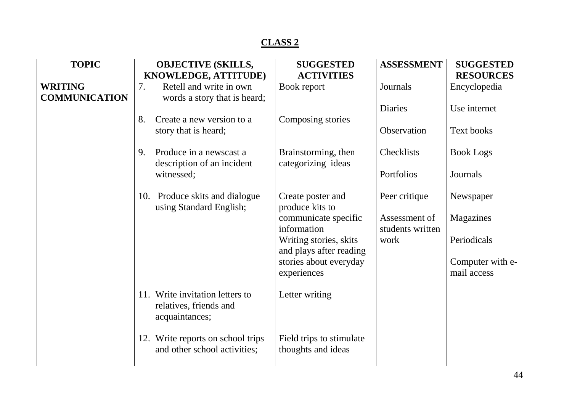| <b>TOPIC</b>         | <b>OBJECTIVE (SKILLS,</b><br>KNOWLEDGE, ATTITUDE)                           | <b>SUGGESTED</b><br><b>ACTIVITIES</b>             | <b>ASSESSMENT</b>                 | <b>SUGGESTED</b><br><b>RESOURCES</b> |
|----------------------|-----------------------------------------------------------------------------|---------------------------------------------------|-----------------------------------|--------------------------------------|
| <b>WRITING</b>       | Retell and write in own<br>7.                                               | Book report                                       | Journals                          | Encyclopedia                         |
| <b>COMMUNICATION</b> | words a story that is heard;                                                |                                                   | <b>Diaries</b>                    | Use internet                         |
|                      | 8.<br>Create a new version to a<br>story that is heard;                     | Composing stories                                 | Observation                       | Text books                           |
|                      | Produce in a newscast a<br>9.<br>description of an incident                 | Brainstorming, then<br>categorizing ideas         | Checklists                        | <b>Book Logs</b>                     |
|                      | witnessed;                                                                  |                                                   | Portfolios                        | Journals                             |
|                      | 10. Produce skits and dialogue<br>using Standard English;                   | Create poster and<br>produce kits to              | Peer critique                     | Newspaper                            |
|                      |                                                                             | communicate specific<br>information               | Assessment of<br>students written | Magazines                            |
|                      |                                                                             | Writing stories, skits<br>and plays after reading | work                              | Periodicals                          |
|                      |                                                                             | stories about everyday<br>experiences             |                                   | Computer with e-<br>mail access      |
|                      | 11. Write invitation letters to<br>relatives, friends and<br>acquaintances; | Letter writing                                    |                                   |                                      |
|                      | 12. Write reports on school trips<br>and other school activities;           | Field trips to stimulate<br>thoughts and ideas    |                                   |                                      |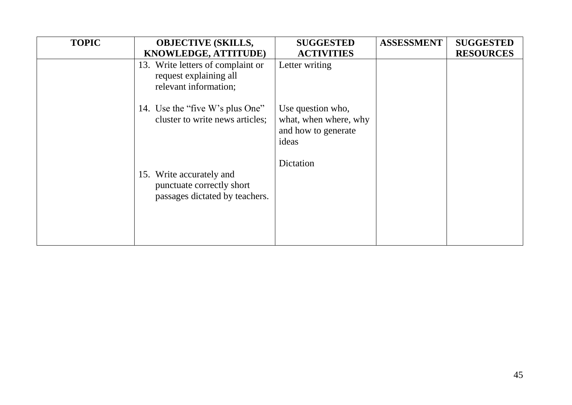| <b>TOPIC</b> | <b>OBJECTIVE (SKILLS,</b>                                                               | <b>SUGGESTED</b>                                                           | <b>ASSESSMENT</b> | <b>SUGGESTED</b> |
|--------------|-----------------------------------------------------------------------------------------|----------------------------------------------------------------------------|-------------------|------------------|
|              | <b>KNOWLEDGE, ATTITUDE)</b>                                                             | <b>ACTIVITIES</b>                                                          |                   | <b>RESOURCES</b> |
|              | 13. Write letters of complaint or<br>request explaining all<br>relevant information;    | Letter writing                                                             |                   |                  |
|              | 14. Use the "five W's plus One"<br>cluster to write news articles;                      | Use question who,<br>what, when where, why<br>and how to generate<br>ideas |                   |                  |
|              | 15. Write accurately and<br>punctuate correctly short<br>passages dictated by teachers. | Dictation                                                                  |                   |                  |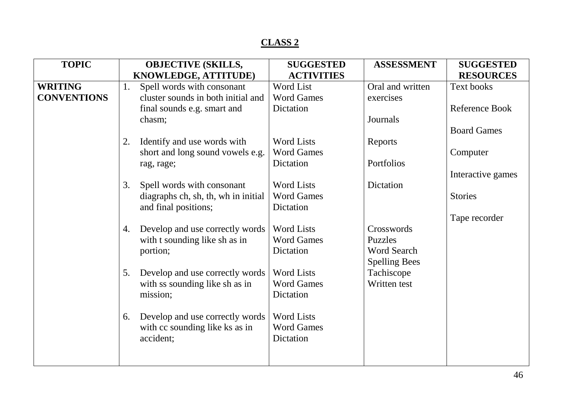| <b>TOPIC</b>       |    | <b>OBJECTIVE (SKILLS,</b>           | <b>SUGGESTED</b>  | <b>ASSESSMENT</b>    | <b>SUGGESTED</b>   |
|--------------------|----|-------------------------------------|-------------------|----------------------|--------------------|
|                    |    | KNOWLEDGE, ATTITUDE)                | <b>ACTIVITIES</b> |                      | <b>RESOURCES</b>   |
| <b>WRITING</b>     | 1. | Spell words with consonant          | Word List         | Oral and written     | <b>Text books</b>  |
| <b>CONVENTIONS</b> |    | cluster sounds in both initial and  | <b>Word Games</b> | exercises            |                    |
|                    |    | final sounds e.g. smart and         | Dictation         |                      | Reference Book     |
|                    |    | chasm;                              |                   | Journals             |                    |
|                    |    |                                     |                   |                      | <b>Board Games</b> |
|                    | 2. | Identify and use words with         | <b>Word Lists</b> | Reports              |                    |
|                    |    | short and long sound vowels e.g.    | <b>Word Games</b> |                      | Computer           |
|                    |    | rag, rage;                          | Dictation         | Portfolios           |                    |
|                    |    |                                     |                   |                      | Interactive games  |
|                    | 3. | Spell words with consonant          | <b>Word Lists</b> | Dictation            |                    |
|                    |    | diagraphs ch, sh, th, wh in initial | <b>Word Games</b> |                      | <b>Stories</b>     |
|                    |    | and final positions;                | Dictation         |                      |                    |
|                    |    |                                     |                   |                      | Tape recorder      |
|                    | 4. | Develop and use correctly words     | <b>Word Lists</b> | Crosswords           |                    |
|                    |    | with t sounding like sh as in       | <b>Word Games</b> | <b>Puzzles</b>       |                    |
|                    |    | portion;                            | Dictation         | <b>Word Search</b>   |                    |
|                    |    |                                     |                   | <b>Spelling Bees</b> |                    |
|                    | 5. | Develop and use correctly words     | <b>Word Lists</b> | Tachiscope           |                    |
|                    |    | with ss sounding like sh as in      | <b>Word Games</b> | Written test         |                    |
|                    |    | mission;                            | Dictation         |                      |                    |
|                    |    |                                     |                   |                      |                    |
|                    | 6. | Develop and use correctly words     | <b>Word Lists</b> |                      |                    |
|                    |    | with cc sounding like ks as in      | <b>Word Games</b> |                      |                    |
|                    |    | accident;                           | Dictation         |                      |                    |
|                    |    |                                     |                   |                      |                    |
|                    |    |                                     |                   |                      |                    |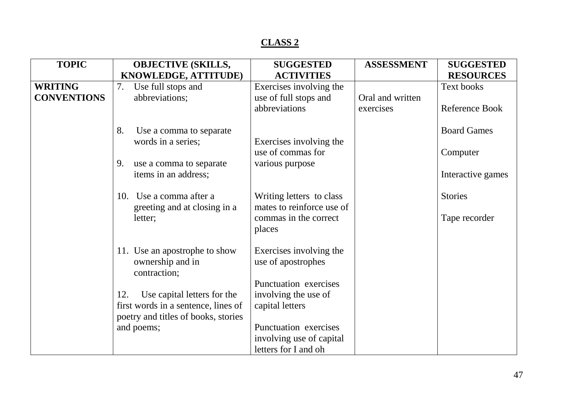| <b>TOPIC</b>       | <b>OBJECTIVE (SKILLS,</b>           | <b>SUGGESTED</b>                              | <b>ASSESSMENT</b> | <b>SUGGESTED</b>   |
|--------------------|-------------------------------------|-----------------------------------------------|-------------------|--------------------|
|                    | KNOWLEDGE, ATTITUDE)                | <b>ACTIVITIES</b>                             |                   | <b>RESOURCES</b>   |
| <b>WRITING</b>     | Use full stops and<br>7.            | Exercises involving the                       |                   | Text books         |
| <b>CONVENTIONS</b> | abbreviations;                      | use of full stops and                         | Oral and written  |                    |
|                    |                                     | abbreviations                                 | exercises         | Reference Book     |
|                    |                                     |                                               |                   |                    |
|                    | Use a comma to separate<br>8.       |                                               |                   | <b>Board Games</b> |
|                    | words in a series;                  | Exercises involving the                       |                   |                    |
|                    |                                     | use of commas for                             |                   | Computer           |
|                    | 9.<br>use a comma to separate       | various purpose                               |                   |                    |
|                    | items in an address;                |                                               |                   | Interactive games  |
|                    |                                     |                                               |                   |                    |
|                    | Use a comma after a<br>10.          | Writing letters to class                      |                   | <b>Stories</b>     |
|                    | greeting and at closing in a        | mates to reinforce use of                     |                   |                    |
|                    | letter;                             | commas in the correct                         |                   | Tape recorder      |
|                    |                                     | places                                        |                   |                    |
|                    |                                     |                                               |                   |                    |
|                    | 11. Use an apostrophe to show       | Exercises involving the<br>use of apostrophes |                   |                    |
|                    | ownership and in<br>contraction;    |                                               |                   |                    |
|                    |                                     | Punctuation exercises                         |                   |                    |
|                    | 12.<br>Use capital letters for the  | involving the use of                          |                   |                    |
|                    | first words in a sentence, lines of | capital letters                               |                   |                    |
|                    | poetry and titles of books, stories |                                               |                   |                    |
|                    | and poems;                          | Punctuation exercises                         |                   |                    |
|                    |                                     | involving use of capital                      |                   |                    |
|                    |                                     | letters for I and oh                          |                   |                    |
|                    |                                     |                                               |                   |                    |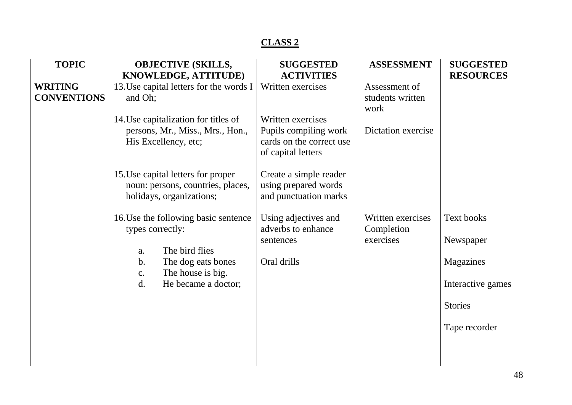| <b>TOPIC</b>       | <b>OBJECTIVE (SKILLS,</b><br><b>SUGGESTED</b> |                                            | <b>ASSESSMENT</b>  | <b>SUGGESTED</b>  |
|--------------------|-----------------------------------------------|--------------------------------------------|--------------------|-------------------|
|                    | KNOWLEDGE, ATTITUDE)                          | <b>ACTIVITIES</b>                          |                    | <b>RESOURCES</b>  |
| <b>WRITING</b>     | 13. Use capital letters for the words I       | Written exercises                          | Assessment of      |                   |
| <b>CONVENTIONS</b> | and Oh;                                       |                                            | students written   |                   |
|                    |                                               |                                            | work               |                   |
|                    | 14. Use capitalization for titles of          | Written exercises                          |                    |                   |
|                    | persons, Mr., Miss., Mrs., Hon.,              | Pupils compiling work                      | Dictation exercise |                   |
|                    | His Excellency, etc;                          | cards on the correct use                   |                    |                   |
|                    |                                               | of capital letters                         |                    |                   |
|                    |                                               |                                            |                    |                   |
|                    | 15. Use capital letters for proper            | Create a simple reader                     |                    |                   |
|                    | noun: persons, countries, places,             | using prepared words                       |                    |                   |
|                    | holidays, organizations;                      | and punctuation marks                      |                    |                   |
|                    | 16. Use the following basic sentence          |                                            | Written exercises  | Text books        |
|                    | types correctly:                              | Using adjectives and<br>adverbs to enhance | Completion         |                   |
|                    |                                               | sentences                                  | exercises          | Newspaper         |
|                    | The bird flies<br>a.                          |                                            |                    |                   |
|                    | $\mathbf b$ .<br>The dog eats bones           | Oral drills                                |                    | Magazines         |
|                    | The house is big.<br>c.                       |                                            |                    |                   |
|                    | d.<br>He became a doctor;                     |                                            |                    | Interactive games |
|                    |                                               |                                            |                    |                   |
|                    |                                               |                                            |                    | <b>Stories</b>    |
|                    |                                               |                                            |                    |                   |
|                    |                                               |                                            |                    | Tape recorder     |
|                    |                                               |                                            |                    |                   |
|                    |                                               |                                            |                    |                   |
|                    |                                               |                                            |                    |                   |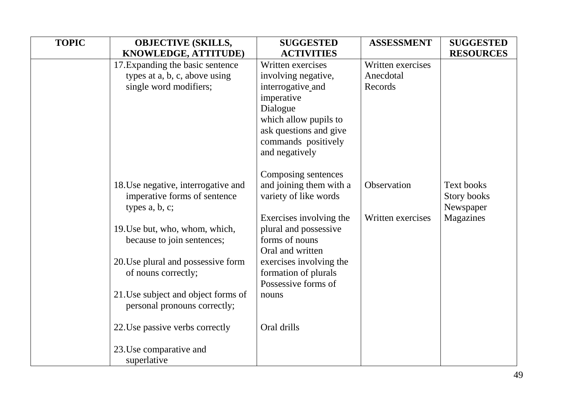| <b>TOPIC</b> | <b>OBJECTIVE (SKILLS,</b>                                                                                                                                                                                                                                                                 | <b>SUGGESTED</b>                                                                                                                                                                                                                                     | <b>ASSESSMENT</b>                         | <b>SUGGESTED</b>                                    |
|--------------|-------------------------------------------------------------------------------------------------------------------------------------------------------------------------------------------------------------------------------------------------------------------------------------------|------------------------------------------------------------------------------------------------------------------------------------------------------------------------------------------------------------------------------------------------------|-------------------------------------------|-----------------------------------------------------|
|              | KNOWLEDGE, ATTITUDE)                                                                                                                                                                                                                                                                      | <b>ACTIVITIES</b>                                                                                                                                                                                                                                    |                                           | <b>RESOURCES</b>                                    |
|              | 17. Expanding the basic sentence<br>types at a, b, c, above using<br>single word modifiers;                                                                                                                                                                                               | Written exercises<br>involving negative,<br>interrogative_and<br>imperative<br>Dialogue<br>which allow pupils to<br>ask questions and give<br>commands positively<br>and negatively                                                                  | Written exercises<br>Anecdotal<br>Records |                                                     |
|              | 18. Use negative, interrogative and<br>imperative forms of sentence<br>types a, b, c;<br>19. Use but, who, whom, which,<br>because to join sentences;<br>20. Use plural and possessive form<br>of nouns correctly;<br>21. Use subject and object forms of<br>personal pronouns correctly; | Composing sentences<br>and joining them with a<br>variety of like words<br>Exercises involving the<br>plural and possessive<br>forms of nouns<br>Oral and written<br>exercises involving the<br>formation of plurals<br>Possessive forms of<br>nouns | Observation<br>Written exercises          | Text books<br>Story books<br>Newspaper<br>Magazines |
|              | 22. Use passive verbs correctly<br>23. Use comparative and<br>superlative                                                                                                                                                                                                                 | Oral drills                                                                                                                                                                                                                                          |                                           |                                                     |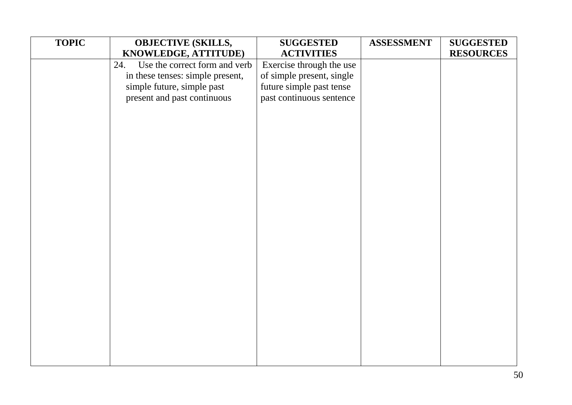| <b>TOPIC</b> | <b>OBJECTIVE (SKILLS,</b>            | <b>SUGGESTED</b>          | <b>ASSESSMENT</b> | <b>SUGGESTED</b> |
|--------------|--------------------------------------|---------------------------|-------------------|------------------|
|              | KNOWLEDGE, ATTITUDE)                 | <b>ACTIVITIES</b>         |                   | <b>RESOURCES</b> |
|              | Use the correct form and verb<br>24. | Exercise through the use  |                   |                  |
|              | in these tenses: simple present,     | of simple present, single |                   |                  |
|              | simple future, simple past           | future simple past tense  |                   |                  |
|              | present and past continuous          | past continuous sentence  |                   |                  |
|              |                                      |                           |                   |                  |
|              |                                      |                           |                   |                  |
|              |                                      |                           |                   |                  |
|              |                                      |                           |                   |                  |
|              |                                      |                           |                   |                  |
|              |                                      |                           |                   |                  |
|              |                                      |                           |                   |                  |
|              |                                      |                           |                   |                  |
|              |                                      |                           |                   |                  |
|              |                                      |                           |                   |                  |
|              |                                      |                           |                   |                  |
|              |                                      |                           |                   |                  |
|              |                                      |                           |                   |                  |
|              |                                      |                           |                   |                  |
|              |                                      |                           |                   |                  |
|              |                                      |                           |                   |                  |
|              |                                      |                           |                   |                  |
|              |                                      |                           |                   |                  |
|              |                                      |                           |                   |                  |
|              |                                      |                           |                   |                  |
|              |                                      |                           |                   |                  |
|              |                                      |                           |                   |                  |
|              |                                      |                           |                   |                  |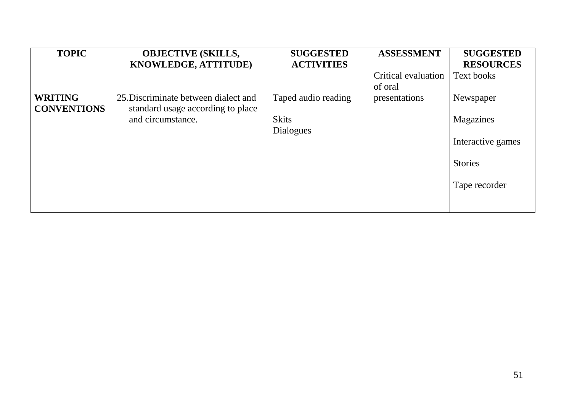| <b>TOPIC</b>                         | <b>OBJECTIVE (SKILLS,</b>                                                 | <b>SUGGESTED</b>                 | <b>ASSESSMENT</b>              | <b>SUGGESTED</b>  |
|--------------------------------------|---------------------------------------------------------------------------|----------------------------------|--------------------------------|-------------------|
|                                      | <b>KNOWLEDGE, ATTITUDE)</b>                                               | <b>ACTIVITIES</b>                |                                | <b>RESOURCES</b>  |
|                                      |                                                                           |                                  | Critical evaluation<br>of oral | Text books        |
| <b>WRITING</b><br><b>CONVENTIONS</b> | 25. Discriminate between dialect and<br>standard usage according to place | Taped audio reading              | presentations                  | Newspaper         |
|                                      | and circumstance.                                                         | <b>Skits</b><br><b>Dialogues</b> |                                | Magazines         |
|                                      |                                                                           |                                  |                                | Interactive games |
|                                      |                                                                           |                                  |                                | <b>Stories</b>    |
|                                      |                                                                           |                                  |                                | Tape recorder     |
|                                      |                                                                           |                                  |                                |                   |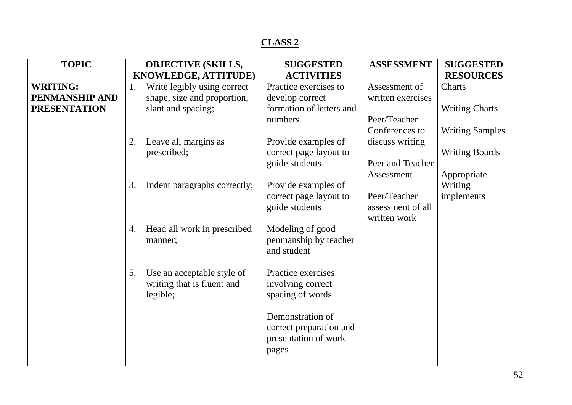| <b>TOPIC</b>        |    | <b>OBJECTIVE (SKILLS,</b>    | <b>SUGGESTED</b>         | <b>ASSESSMENT</b> | <b>SUGGESTED</b>       |
|---------------------|----|------------------------------|--------------------------|-------------------|------------------------|
|                     |    | KNOWLEDGE, ATTITUDE)         | <b>ACTIVITIES</b>        |                   | <b>RESOURCES</b>       |
| <b>WRITING:</b>     | 1. | Write legibly using correct  | Practice exercises to    | Assessment of     | Charts                 |
| PENMANSHIP AND      |    | shape, size and proportion,  | develop correct          | written exercises |                        |
| <b>PRESENTATION</b> |    | slant and spacing;           | formation of letters and |                   | <b>Writing Charts</b>  |
|                     |    |                              | numbers                  | Peer/Teacher      |                        |
|                     |    |                              |                          | Conferences to    | <b>Writing Samples</b> |
|                     | 2. | Leave all margins as         | Provide examples of      | discuss writing   |                        |
|                     |    | prescribed;                  | correct page layout to   |                   | <b>Writing Boards</b>  |
|                     |    |                              | guide students           | Peer and Teacher  |                        |
|                     |    |                              |                          | Assessment        | Appropriate            |
|                     | 3. | Indent paragraphs correctly; | Provide examples of      |                   | Writing                |
|                     |    |                              | correct page layout to   | Peer/Teacher      | implements             |
|                     |    |                              | guide students           | assessment of all |                        |
|                     |    |                              |                          | written work      |                        |
|                     | 4. | Head all work in prescribed  | Modeling of good         |                   |                        |
|                     |    | manner;                      | penmanship by teacher    |                   |                        |
|                     |    |                              | and student              |                   |                        |
|                     |    |                              |                          |                   |                        |
|                     | 5. | Use an acceptable style of   | Practice exercises       |                   |                        |
|                     |    | writing that is fluent and   | involving correct        |                   |                        |
|                     |    | legible;                     | spacing of words         |                   |                        |
|                     |    |                              | Demonstration of         |                   |                        |
|                     |    |                              | correct preparation and  |                   |                        |
|                     |    |                              | presentation of work     |                   |                        |
|                     |    |                              | pages                    |                   |                        |
|                     |    |                              |                          |                   |                        |